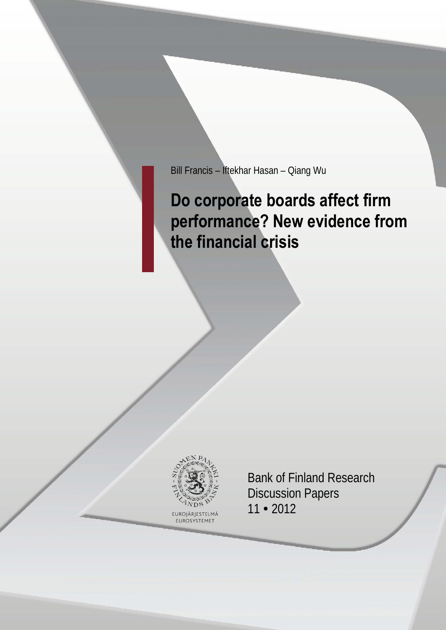Bill Francis – Iftekhar Hasan – Qiang Wu

# **Do corporate boards affect firm performance? New evidence from the financial crisis**



FUROSYSTEME<sup>-</sup>

Bank of Finland Research Discussion Papers 11 • 2012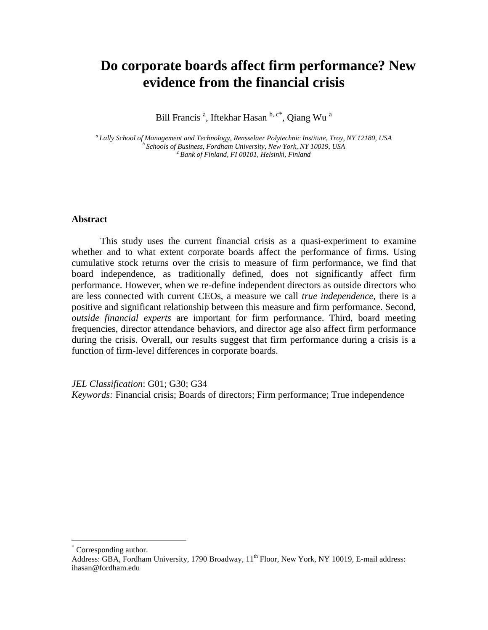# **Do corporate boards affect firm performance? New evidence from the financial crisis**

Bill Francis<sup>a</sup>, Iftekhar Hasan b, c[\\*](#page-1-0), Qiang Wu<sup>a</sup>

<sup>a</sup> Lally School of Management and Technology, Rensselaer Polytechnic Institute, Troy, NY 12180, USA<br><sup>b</sup> Schools of Business, Fordham University, New York, NY 10019, USA<br><sup>c</sup> Bank of Finland, F1 00101, Helsinki, Finland

#### **Abstract**

This study uses the current financial crisis as a quasi-experiment to examine whether and to what extent corporate boards affect the performance of firms. Using cumulative stock returns over the crisis to measure of firm performance, we find that board independence, as traditionally defined, does not significantly affect firm performance. However, when we re-define independent directors as outside directors who are less connected with current CEOs, a measure we call *true independence,* there is a positive and significant relationship between this measure and firm performance. Second, *outside financial experts* are important for firm performance. Third, board meeting frequencies, director attendance behaviors, and director age also affect firm performance during the crisis. Overall, our results suggest that firm performance during a crisis is a function of firm-level differences in corporate boards.

*JEL Classification*: G01; G30; G34 *Keywords:* Financial crisis; Boards of directors; Firm performance; True independence

 $\overline{a}$ 

<span id="page-1-0"></span>Corresponding author.

Address: GBA, Fordham University, 1790 Broadway, 11<sup>th</sup> Floor, New York, NY 10019, E-mail address: ihasan@fordham.edu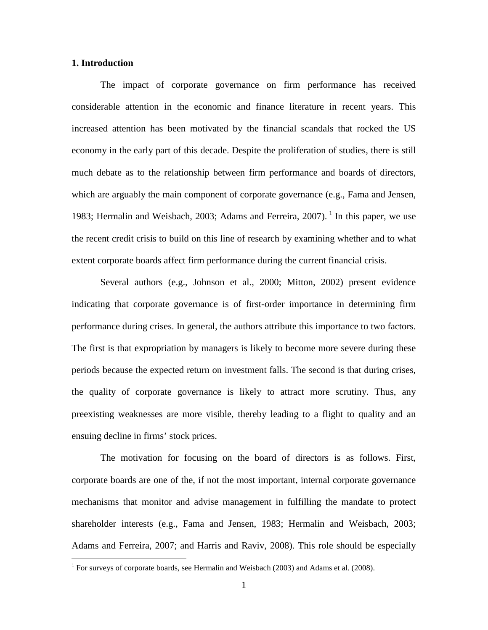#### **1. Introduction**

 $\overline{a}$ 

The impact of corporate governance on firm performance has received considerable attention in the economic and finance literature in recent years. This increased attention has been motivated by the financial scandals that rocked the US economy in the early part of this decade. Despite the proliferation of studies, there is still much debate as to the relationship between firm performance and boards of directors, which are arguably the main component of corporate governance (e.g., Fama and Jensen, [1](#page-2-0)983; Hermalin and Weisbach, 2003; Adams and Ferreira, 2007).<sup>1</sup> In this paper, we use the recent credit crisis to build on this line of research by examining whether and to what extent corporate boards affect firm performance during the current financial crisis.

Several authors (e.g., Johnson et al., 2000; Mitton, 2002) present evidence indicating that corporate governance is of first-order importance in determining firm performance during crises. In general, the authors attribute this importance to two factors. The first is that expropriation by managers is likely to become more severe during these periods because the expected return on investment falls. The second is that during crises, the quality of corporate governance is likely to attract more scrutiny. Thus, any preexisting weaknesses are more visible, thereby leading to a flight to quality and an ensuing decline in firms' stock prices.

The motivation for focusing on the board of directors is as follows. First, corporate boards are one of the, if not the most important, internal corporate governance mechanisms that monitor and advise management in fulfilling the mandate to protect shareholder interests (e.g., Fama and Jensen, 1983; Hermalin and Weisbach, 2003; Adams and Ferreira, 2007; and Harris and Raviv, 2008). This role should be especially

<span id="page-2-0"></span> $1$  For surveys of corporate boards, see Hermalin and Weisbach (2003) and Adams et al. (2008).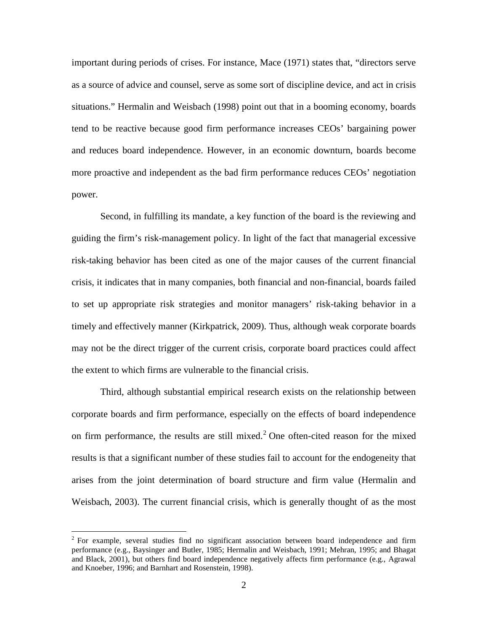important during periods of crises. For instance, Mace (1971) states that, "directors serve as a source of advice and counsel, serve as some sort of discipline device, and act in crisis situations." Hermalin and Weisbach (1998) point out that in a booming economy, boards tend to be reactive because good firm performance increases CEOs' bargaining power and reduces board independence. However, in an economic downturn, boards become more proactive and independent as the bad firm performance reduces CEOs' negotiation power.

Second, in fulfilling its mandate, a key function of the board is the reviewing and guiding the firm's risk-management policy. In light of the fact that managerial excessive risk-taking behavior has been cited as one of the major causes of the current financial crisis, it indicates that in many companies, both financial and non-financial, boards failed to set up appropriate risk strategies and monitor managers' risk-taking behavior in a timely and effectively manner (Kirkpatrick, 2009). Thus, although weak corporate boards may not be the direct trigger of the current crisis, corporate board practices could affect the extent to which firms are vulnerable to the financial crisis.

Third, although substantial empirical research exists on the relationship between corporate boards and firm performance, especially on the effects of board independence on firm performance, the results are still mixed.<sup>[2](#page-3-0)</sup> One often-cited reason for the mixed results is that a significant number of these studies fail to account for the endogeneity that arises from the joint determination of board structure and firm value (Hermalin and Weisbach, 2003). The current financial crisis, which is generally thought of as the most

 $\overline{a}$ 

<span id="page-3-0"></span> $2$  For example, several studies find no significant association between board independence and firm performance (e.g., Baysinger and Butler, 1985; Hermalin and Weisbach, 1991; Mehran, 1995; and Bhagat and Black, 2001), but others find board independence negatively affects firm performance (e.g., Agrawal and Knoeber, 1996; and Barnhart and Rosenstein, 1998).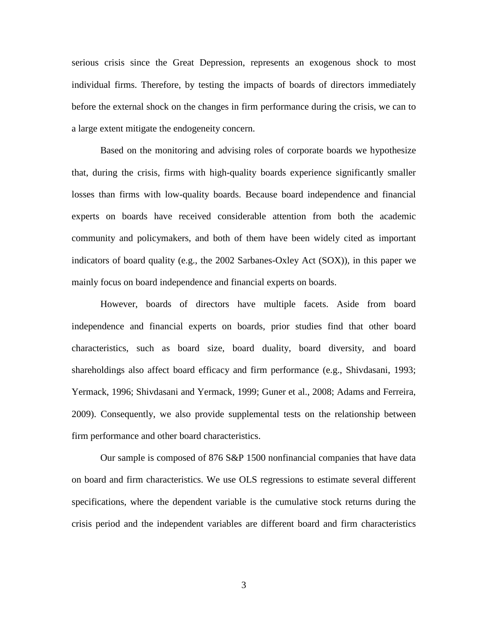serious crisis since the Great Depression, represents an exogenous shock to most individual firms. Therefore, by testing the impacts of boards of directors immediately before the external shock on the changes in firm performance during the crisis, we can to a large extent mitigate the endogeneity concern.

Based on the monitoring and advising roles of corporate boards we hypothesize that, during the crisis, firms with high-quality boards experience significantly smaller losses than firms with low-quality boards. Because board independence and financial experts on boards have received considerable attention from both the academic community and policymakers, and both of them have been widely cited as important indicators of board quality (e.g., the 2002 Sarbanes-Oxley Act (SOX)), in this paper we mainly focus on board independence and financial experts on boards.

However, boards of directors have multiple facets. Aside from board independence and financial experts on boards, prior studies find that other board characteristics, such as board size, board duality, board diversity, and board shareholdings also affect board efficacy and firm performance (e.g., Shivdasani, 1993; Yermack, 1996; Shivdasani and Yermack, 1999; Guner et al., 2008; Adams and Ferreira, 2009). Consequently, we also provide supplemental tests on the relationship between firm performance and other board characteristics.

Our sample is composed of 876 S&P 1500 nonfinancial companies that have data on board and firm characteristics. We use OLS regressions to estimate several different specifications, where the dependent variable is the cumulative stock returns during the crisis period and the independent variables are different board and firm characteristics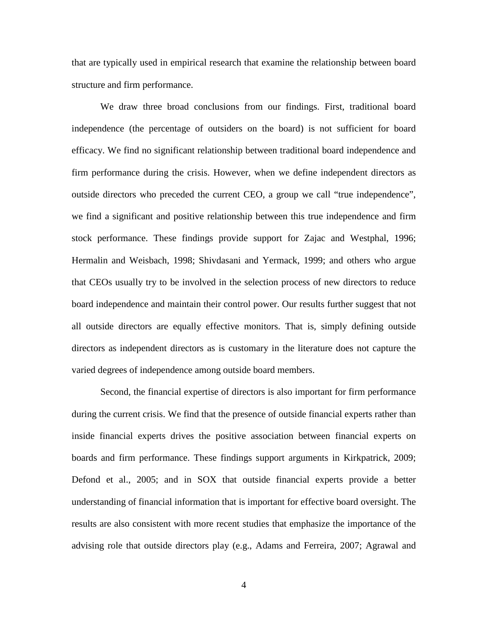that are typically used in empirical research that examine the relationship between board structure and firm performance.

We draw three broad conclusions from our findings. First, traditional board independence (the percentage of outsiders on the board) is not sufficient for board efficacy. We find no significant relationship between traditional board independence and firm performance during the crisis. However, when we define independent directors as outside directors who preceded the current CEO, a group we call "true independence", we find a significant and positive relationship between this true independence and firm stock performance. These findings provide support for Zajac and Westphal, 1996; Hermalin and Weisbach, 1998; Shivdasani and Yermack, 1999; and others who argue that CEOs usually try to be involved in the selection process of new directors to reduce board independence and maintain their control power. Our results further suggest that not all outside directors are equally effective monitors. That is, simply defining outside directors as independent directors as is customary in the literature does not capture the varied degrees of independence among outside board members.

Second, the financial expertise of directors is also important for firm performance during the current crisis. We find that the presence of outside financial experts rather than inside financial experts drives the positive association between financial experts on boards and firm performance. These findings support arguments in Kirkpatrick, 2009; Defond et al., 2005; and in SOX that outside financial experts provide a better understanding of financial information that is important for effective board oversight. The results are also consistent with more recent studies that emphasize the importance of the advising role that outside directors play (e.g., Adams and Ferreira, 2007; Agrawal and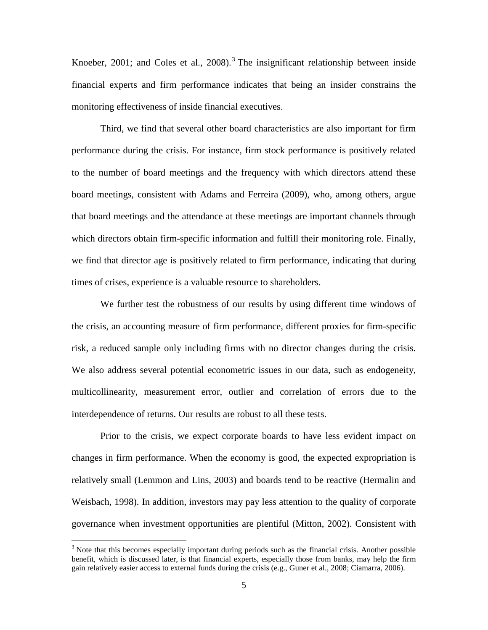Knoeber, 2001; and Coles et al.,  $2008$ ).<sup>[3](#page-6-0)</sup> The insignificant relationship between inside financial experts and firm performance indicates that being an insider constrains the monitoring effectiveness of inside financial executives.

Third, we find that several other board characteristics are also important for firm performance during the crisis. For instance, firm stock performance is positively related to the number of board meetings and the frequency with which directors attend these board meetings, consistent with Adams and Ferreira (2009), who, among others, argue that board meetings and the attendance at these meetings are important channels through which directors obtain firm-specific information and fulfill their monitoring role. Finally, we find that director age is positively related to firm performance, indicating that during times of crises, experience is a valuable resource to shareholders.

We further test the robustness of our results by using different time windows of the crisis, an accounting measure of firm performance, different proxies for firm-specific risk, a reduced sample only including firms with no director changes during the crisis. We also address several potential econometric issues in our data, such as endogeneity, multicollinearity, measurement error, outlier and correlation of errors due to the interdependence of returns. Our results are robust to all these tests.

Prior to the crisis, we expect corporate boards to have less evident impact on changes in firm performance. When the economy is good, the expected expropriation is relatively small (Lemmon and Lins, 2003) and boards tend to be reactive (Hermalin and Weisbach, 1998). In addition, investors may pay less attention to the quality of corporate governance when investment opportunities are plentiful (Mitton, 2002). Consistent with

 $\overline{a}$ 

<span id="page-6-0"></span> $3$  Note that this becomes especially important during periods such as the financial crisis. Another possible benefit, which is discussed later, is that financial experts, especially those from banks, may help the firm gain relatively easier access to external funds during the crisis (e.g., Guner et al., 2008; Ciamarra, 2006).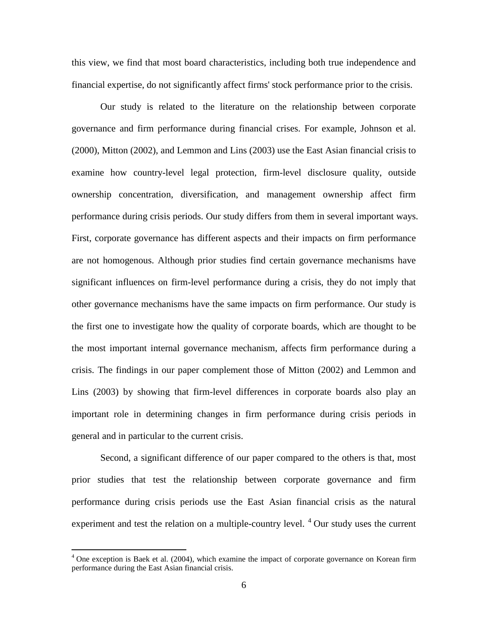this view, we find that most board characteristics, including both true independence and financial expertise, do not significantly affect firms' stock performance prior to the crisis.

Our study is related to the literature on the relationship between corporate governance and firm performance during financial crises. For example, Johnson et al. (2000), Mitton (2002), and Lemmon and Lins (2003) use the East Asian financial crisis to examine how country-level legal protection, firm-level disclosure quality, outside ownership concentration, diversification, and management ownership affect firm performance during crisis periods. Our study differs from them in several important ways. First, corporate governance has different aspects and their impacts on firm performance are not homogenous. Although prior studies find certain governance mechanisms have significant influences on firm-level performance during a crisis, they do not imply that other governance mechanisms have the same impacts on firm performance. Our study is the first one to investigate how the quality of corporate boards, which are thought to be the most important internal governance mechanism, affects firm performance during a crisis. The findings in our paper complement those of Mitton (2002) and Lemmon and Lins (2003) by showing that firm-level differences in corporate boards also play an important role in determining changes in firm performance during crisis periods in general and in particular to the current crisis.

Second, a significant difference of our paper compared to the others is that, most prior studies that test the relationship between corporate governance and firm performance during crisis periods use the East Asian financial crisis as the natural experiment and test the relation on a multiple-country level. <sup>[4](#page-7-0)</sup> Our study uses the current

 $\overline{a}$ 

<span id="page-7-0"></span> $<sup>4</sup>$  One exception is Baek et al. (2004), which examine the impact of corporate governance on Korean firm</sup> performance during the East Asian financial crisis.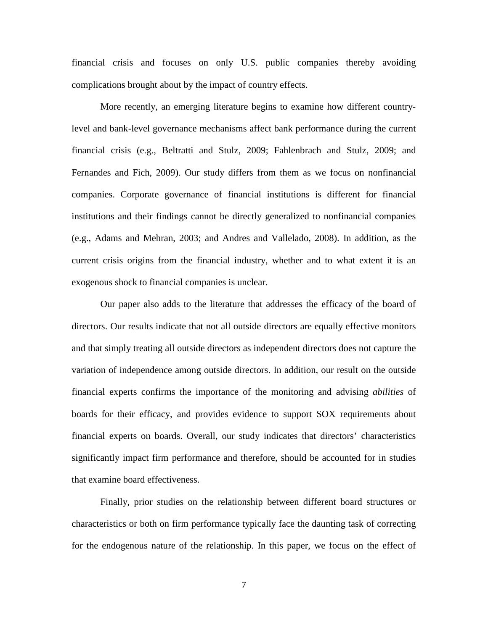financial crisis and focuses on only U.S. public companies thereby avoiding complications brought about by the impact of country effects.

More recently, an emerging literature begins to examine how different countrylevel and bank-level governance mechanisms affect bank performance during the current financial crisis (e.g., Beltratti and Stulz, 2009; Fahlenbrach and Stulz, 2009; and Fernandes and Fich, 2009). Our study differs from them as we focus on nonfinancial companies. Corporate governance of financial institutions is different for financial institutions and their findings cannot be directly generalized to nonfinancial companies (e.g., Adams and Mehran, 2003; and Andres and Vallelado, 2008). In addition, as the current crisis origins from the financial industry, whether and to what extent it is an exogenous shock to financial companies is unclear.

Our paper also adds to the literature that addresses the efficacy of the board of directors. Our results indicate that not all outside directors are equally effective monitors and that simply treating all outside directors as independent directors does not capture the variation of independence among outside directors. In addition, our result on the outside financial experts confirms the importance of the monitoring and advising *abilities* of boards for their efficacy, and provides evidence to support SOX requirements about financial experts on boards. Overall, our study indicates that directors' characteristics significantly impact firm performance and therefore, should be accounted for in studies that examine board effectiveness.

Finally, prior studies on the relationship between different board structures or characteristics or both on firm performance typically face the daunting task of correcting for the endogenous nature of the relationship. In this paper, we focus on the effect of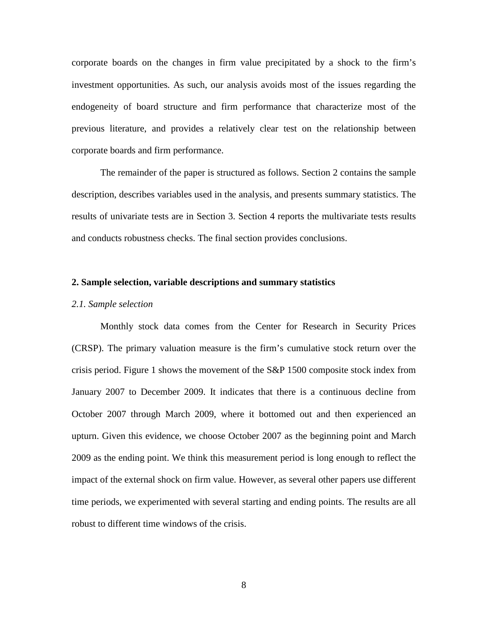corporate boards on the changes in firm value precipitated by a shock to the firm's investment opportunities. As such, our analysis avoids most of the issues regarding the endogeneity of board structure and firm performance that characterize most of the previous literature, and provides a relatively clear test on the relationship between corporate boards and firm performance.

The remainder of the paper is structured as follows. Section 2 contains the sample description, describes variables used in the analysis, and presents summary statistics. The results of univariate tests are in Section 3. Section 4 reports the multivariate tests results and conducts robustness checks. The final section provides conclusions.

#### **2. Sample selection, variable descriptions and summary statistics**

#### *2.1. Sample selection*

Monthly stock data comes from the Center for Research in Security Prices (CRSP). The primary valuation measure is the firm's cumulative stock return over the crisis period. Figure 1 shows the movement of the S&P 1500 composite stock index from January 2007 to December 2009. It indicates that there is a continuous decline from October 2007 through March 2009, where it bottomed out and then experienced an upturn. Given this evidence, we choose October 2007 as the beginning point and March 2009 as the ending point. We think this measurement period is long enough to reflect the impact of the external shock on firm value. However, as several other papers use different time periods, we experimented with several starting and ending points. The results are all robust to different time windows of the crisis.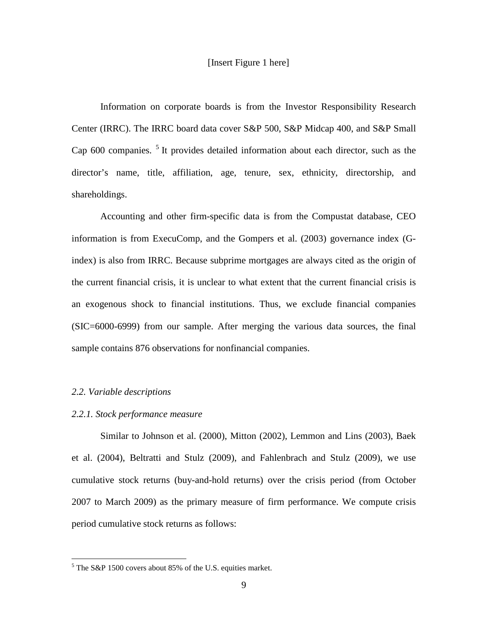#### [Insert Figure 1 here]

Information on corporate boards is from the Investor Responsibility Research Center (IRRC). The IRRC board data cover S&P 500, S&P Midcap 400, and S&P Small Cap 600 companies.<sup>[5](#page-10-0)</sup> It provides detailed information about each director, such as the director's name, title, affiliation, age, tenure, sex, ethnicity, directorship, and shareholdings.

Accounting and other firm-specific data is from the Compustat database, CEO information is from ExecuComp, and the Gompers et al. (2003) governance index (Gindex) is also from IRRC. Because subprime mortgages are always cited as the origin of the current financial crisis, it is unclear to what extent that the current financial crisis is an exogenous shock to financial institutions. Thus, we exclude financial companies (SIC=6000-6999) from our sample. After merging the various data sources, the final sample contains 876 observations for nonfinancial companies.

#### *2.2. Variable descriptions*

 $\overline{a}$ 

#### *2.2.1. Stock performance measure*

Similar to Johnson et al. (2000), Mitton (2002), Lemmon and Lins (2003), Baek et al. (2004), Beltratti and Stulz (2009), and Fahlenbrach and Stulz (2009), we use cumulative stock returns (buy-and-hold returns) over the crisis period (from October 2007 to March 2009) as the primary measure of firm performance. We compute crisis period cumulative stock returns as follows:

<span id="page-10-0"></span> $5$  The S&P 1500 covers about 85% of the U.S. equities market.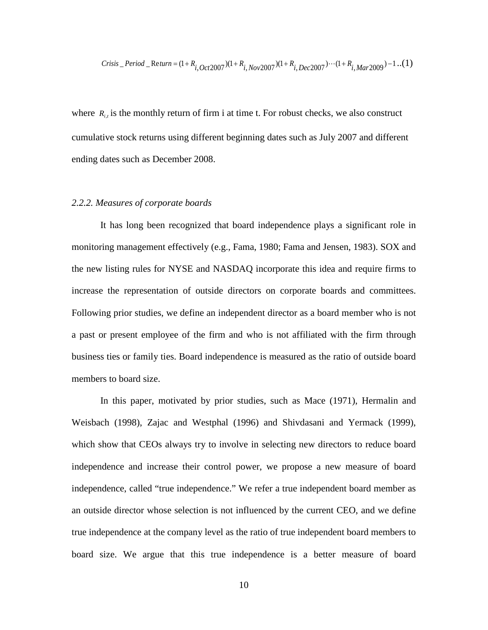*Crisis* \_*Period* \_*Return* = 
$$
(1 + R_{i, Oct2007})(1 + R_{i, Nov2007})(1 + R_{i, Dec2007}) \cdots (1 + R_{i, Mar2009}) - 1 \cdots (1)
$$

where  $R_{i}$  is the monthly return of firm i at time t. For robust checks, we also construct cumulative stock returns using different beginning dates such as July 2007 and different ending dates such as December 2008.

#### *2.2.2. Measures of corporate boards*

It has long been recognized that board independence plays a significant role in monitoring management effectively (e.g., Fama, 1980; Fama and Jensen, 1983). SOX and the new listing rules for NYSE and NASDAQ incorporate this idea and require firms to increase the representation of outside directors on corporate boards and committees. Following prior studies, we define an independent director as a board member who is not a past or present employee of the firm and who is not affiliated with the firm through business ties or family ties. Board independence is measured as the ratio of outside board members to board size.

In this paper, motivated by prior studies, such as Mace (1971), Hermalin and Weisbach (1998), Zajac and Westphal (1996) and Shivdasani and Yermack (1999), which show that CEOs always try to involve in selecting new directors to reduce board independence and increase their control power, we propose a new measure of board independence, called "true independence." We refer a true independent board member as an outside director whose selection is not influenced by the current CEO, and we define true independence at the company level as the ratio of true independent board members to board size. We argue that this true independence is a better measure of board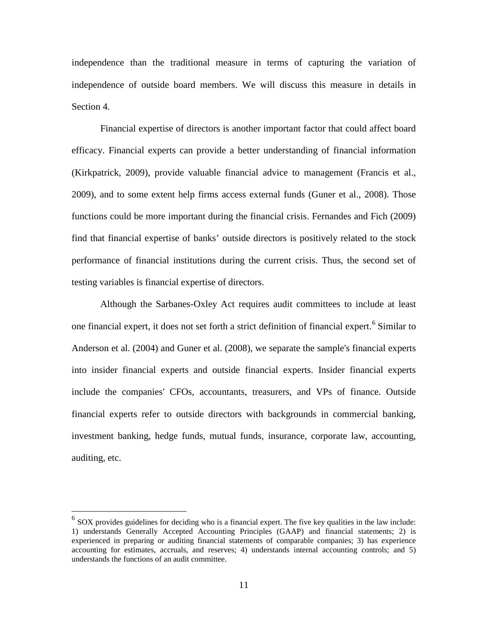independence than the traditional measure in terms of capturing the variation of independence of outside board members. We will discuss this measure in details in Section 4.

Financial expertise of directors is another important factor that could affect board efficacy. Financial experts can provide a better understanding of financial information (Kirkpatrick, 2009), provide valuable financial advice to management (Francis et al., 2009), and to some extent help firms access external funds (Guner et al., 2008). Those functions could be more important during the financial crisis. Fernandes and Fich (2009) find that financial expertise of banks' outside directors is positively related to the stock performance of financial institutions during the current crisis. Thus, the second set of testing variables is financial expertise of directors.

Although the Sarbanes-Oxley Act requires audit committees to include at least one financial expert, it does not set forth a strict definition of financial expert. [6](#page-12-0) Similar to Anderson et al. (2004) and Guner et al. (2008), we separate the sample's financial experts into insider financial experts and outside financial experts. Insider financial experts include the companies' CFOs, accountants, treasurers, and VPs of finance. Outside financial experts refer to outside directors with backgrounds in commercial banking, investment banking, hedge funds, mutual funds, insurance, corporate law, accounting, auditing, etc.

 $\overline{a}$ 

<span id="page-12-0"></span> $6$  SOX provides guidelines for deciding who is a financial expert. The five key qualities in the law include: 1) understands Generally Accepted Accounting Principles (GAAP) and financial statements; 2) is experienced in preparing or auditing financial statements of comparable companies; 3) has experience accounting for estimates, accruals, and reserves; 4) understands internal accounting controls; and 5) understands the functions of an audit committee.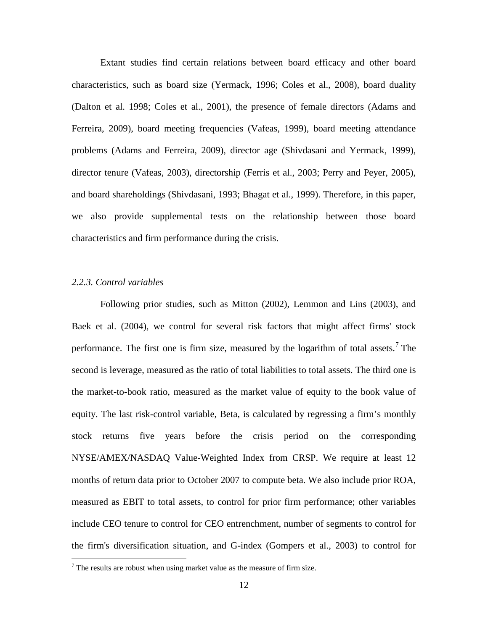Extant studies find certain relations between board efficacy and other board characteristics, such as board size (Yermack, 1996; Coles et al., 2008), board duality (Dalton et al. 1998; Coles et al., 2001), the presence of female directors (Adams and Ferreira, 2009), board meeting frequencies (Vafeas, 1999), board meeting attendance problems (Adams and Ferreira, 2009), director age (Shivdasani and Yermack, 1999), director tenure (Vafeas, 2003), directorship (Ferris et al., 2003; Perry and Peyer, 2005), and board shareholdings (Shivdasani, 1993; Bhagat et al., 1999). Therefore, in this paper, we also provide supplemental tests on the relationship between those board characteristics and firm performance during the crisis.

#### *2.2.3. Control variables*

 $\overline{a}$ 

Following prior studies, such as Mitton (2002), Lemmon and Lins (2003), and Baek et al. (2004), we control for several risk factors that might affect firms' stock performance. The first one is firm size, measured by the logarithm of total assets.<sup>[7](#page-13-0)</sup> The second is leverage, measured as the ratio of total liabilities to total assets. The third one is the market-to-book ratio, measured as the market value of equity to the book value of equity. The last risk-control variable, Beta, is calculated by regressing a firm's monthly stock returns five years before the crisis period on the corresponding NYSE/AMEX/NASDAQ Value-Weighted Index from CRSP. We require at least 12 months of return data prior to October 2007 to compute beta. We also include prior ROA, measured as EBIT to total assets, to control for prior firm performance; other variables include CEO tenure to control for CEO entrenchment, number of segments to control for the firm's diversification situation, and G-index (Gompers et al., 2003) to control for

<span id="page-13-0"></span> $<sup>7</sup>$  The results are robust when using market value as the measure of firm size.</sup>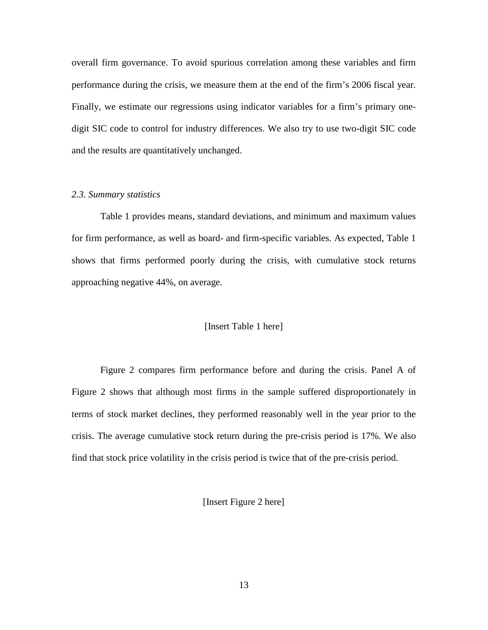overall firm governance. To avoid spurious correlation among these variables and firm performance during the crisis, we measure them at the end of the firm's 2006 fiscal year. Finally, we estimate our regressions using indicator variables for a firm's primary onedigit SIC code to control for industry differences. We also try to use two-digit SIC code and the results are quantitatively unchanged.

#### *2.3. Summary statistics*

Table 1 provides means, standard deviations, and minimum and maximum values for firm performance, as well as board- and firm-specific variables. As expected, Table 1 shows that firms performed poorly during the crisis, with cumulative stock returns approaching negative 44%, on average.

#### [Insert Table 1 here]

Figure 2 compares firm performance before and during the crisis. Panel A of Figure 2 shows that although most firms in the sample suffered disproportionately in terms of stock market declines, they performed reasonably well in the year prior to the crisis. The average cumulative stock return during the pre-crisis period is 17%. We also find that stock price volatility in the crisis period is twice that of the pre-crisis period.

[Insert Figure 2 here]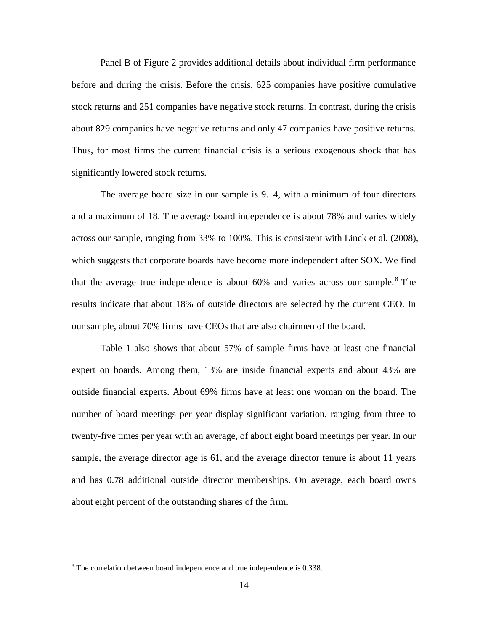Panel B of Figure 2 provides additional details about individual firm performance before and during the crisis. Before the crisis, 625 companies have positive cumulative stock returns and 251 companies have negative stock returns. In contrast, during the crisis about 829 companies have negative returns and only 47 companies have positive returns. Thus, for most firms the current financial crisis is a serious exogenous shock that has significantly lowered stock returns.

The average board size in our sample is 9.14, with a minimum of four directors and a maximum of 18. The average board independence is about 78% and varies widely across our sample, ranging from 33% to 100%. This is consistent with Linck et al. (2008), which suggests that corporate boards have become more independent after SOX. We find that the average true independence is about  $60\%$  and varies across our sample.<sup>[8](#page-15-0)</sup> The results indicate that about 18% of outside directors are selected by the current CEO. In our sample, about 70% firms have CEOs that are also chairmen of the board.

Table 1 also shows that about 57% of sample firms have at least one financial expert on boards. Among them, 13% are inside financial experts and about 43% are outside financial experts. About 69% firms have at least one woman on the board. The number of board meetings per year display significant variation, ranging from three to twenty-five times per year with an average, of about eight board meetings per year. In our sample, the average director age is 61, and the average director tenure is about 11 years and has 0.78 additional outside director memberships. On average, each board owns about eight percent of the outstanding shares of the firm.

 $\overline{a}$ 

<span id="page-15-0"></span><sup>8</sup> The correlation between board independence and true independence is 0.338.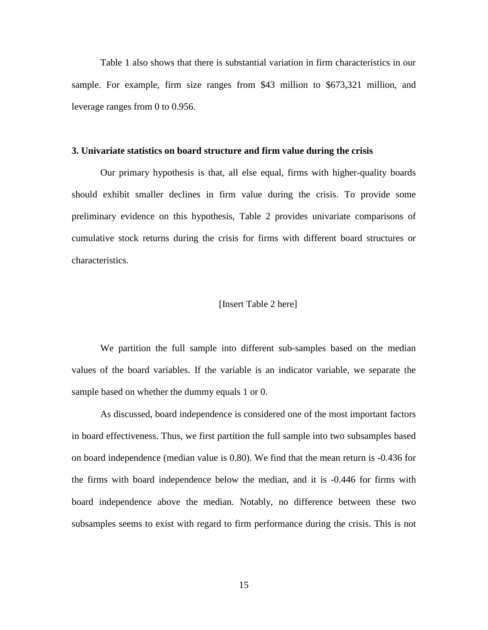Table 1 also shows that there is substantial variation in firm characteristics in our sample. For example, firm size ranges from \$43 million to \$673,321 million, and leverage ranges from 0 to 0.956.

#### **3. Univariate statistics on board structure and firm value during the crisis**

Our primary hypothesis is that, all else equal, firms with higher-quality boards should exhibit smaller declines in firm value during the crisis. To provide some preliminary evidence on this hypothesis, Table 2 provides univariate comparisons of cumulative stock returns during the crisis for firms with different board structures or characteristics.

#### [Insert Table 2 here]

We partition the full sample into different sub-samples based on the median values of the board variables. If the variable is an indicator variable, we separate the sample based on whether the dummy equals 1 or 0.

As discussed, board independence is considered one of the most important factors in board effectiveness. Thus, we first partition the full sample into two subsamples based on board independence (median value is 0.80). We find that the mean return is -0.436 for the firms with board independence below the median, and it is -0.446 for firms with board independence above the median. Notably, no difference between these two subsamples seems to exist with regard to firm performance during the crisis. This is not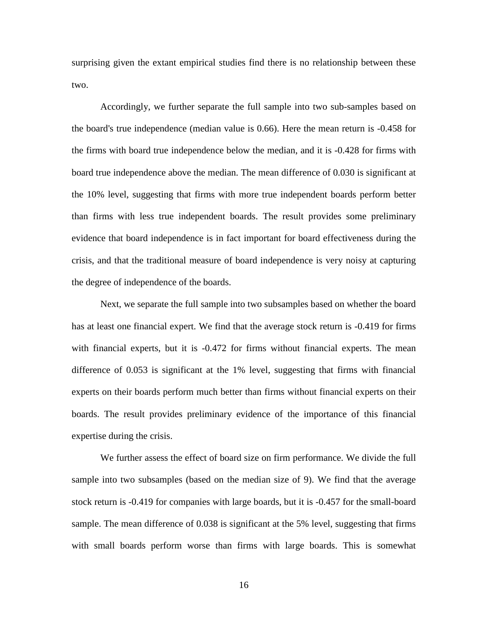surprising given the extant empirical studies find there is no relationship between these two.

Accordingly, we further separate the full sample into two sub-samples based on the board's true independence (median value is 0.66). Here the mean return is -0.458 for the firms with board true independence below the median, and it is -0.428 for firms with board true independence above the median. The mean difference of 0.030 is significant at the 10% level, suggesting that firms with more true independent boards perform better than firms with less true independent boards. The result provides some preliminary evidence that board independence is in fact important for board effectiveness during the crisis, and that the traditional measure of board independence is very noisy at capturing the degree of independence of the boards.

Next, we separate the full sample into two subsamples based on whether the board has at least one financial expert. We find that the average stock return is -0.419 for firms with financial experts, but it is  $-0.472$  for firms without financial experts. The mean difference of 0.053 is significant at the 1% level, suggesting that firms with financial experts on their boards perform much better than firms without financial experts on their boards. The result provides preliminary evidence of the importance of this financial expertise during the crisis.

We further assess the effect of board size on firm performance. We divide the full sample into two subsamples (based on the median size of 9). We find that the average stock return is -0.419 for companies with large boards, but it is -0.457 for the small-board sample. The mean difference of 0.038 is significant at the 5% level, suggesting that firms with small boards perform worse than firms with large boards. This is somewhat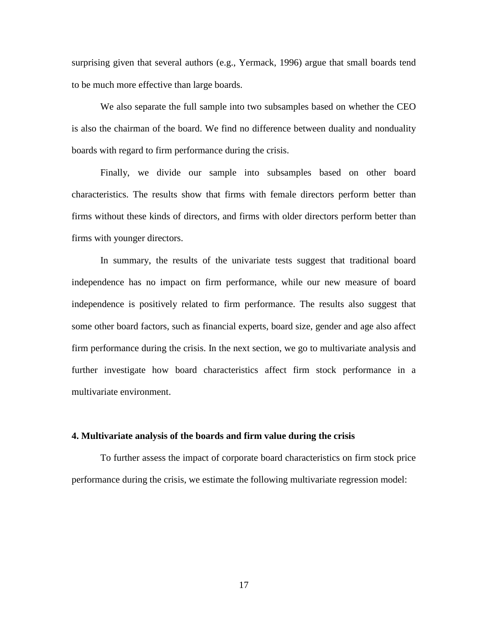surprising given that several authors (e.g., Yermack, 1996) argue that small boards tend to be much more effective than large boards.

We also separate the full sample into two subsamples based on whether the CEO is also the chairman of the board. We find no difference between duality and nonduality boards with regard to firm performance during the crisis.

Finally, we divide our sample into subsamples based on other board characteristics. The results show that firms with female directors perform better than firms without these kinds of directors, and firms with older directors perform better than firms with younger directors.

In summary, the results of the univariate tests suggest that traditional board independence has no impact on firm performance, while our new measure of board independence is positively related to firm performance. The results also suggest that some other board factors, such as financial experts, board size, gender and age also affect firm performance during the crisis. In the next section, we go to multivariate analysis and further investigate how board characteristics affect firm stock performance in a multivariate environment.

#### **4. Multivariate analysis of the boards and firm value during the crisis**

To further assess the impact of corporate board characteristics on firm stock price performance during the crisis, we estimate the following multivariate regression model: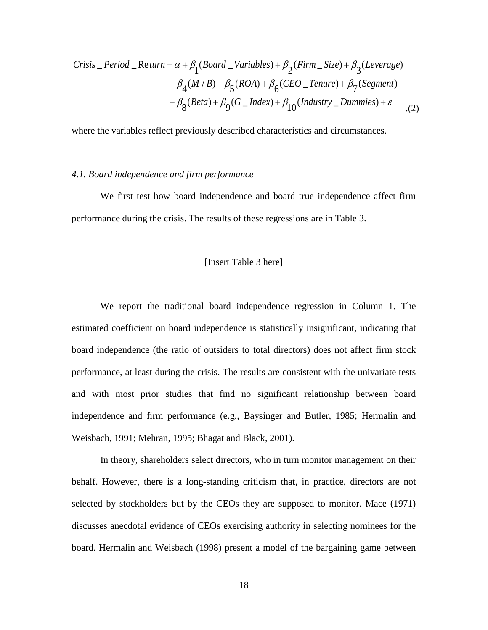*Crisis* \_*Period* \_*Return* = 
$$
\alpha + \beta_1(Boad_{\text{variable}}) + \beta_2(Firm_{\text{size}}) + \beta_3(Leverage)
$$
  
+  $\beta_4(M/B) + \beta_5(ROA) + \beta_6(CEO_{\text{varure}}) + \beta_7(Segment)$   
+  $\beta_8(Beta) + \beta_9(G_{\text{index}}) + \beta_{10}(Industry_{\text{numines}}) + \varepsilon$  (2)

where the variables reflect previously described characteristics and circumstances.

#### *4.1. Board independence and firm performance*

We first test how board independence and board true independence affect firm performance during the crisis. The results of these regressions are in Table 3.

#### [Insert Table 3 here]

We report the traditional board independence regression in Column 1. The estimated coefficient on board independence is statistically insignificant, indicating that board independence (the ratio of outsiders to total directors) does not affect firm stock performance, at least during the crisis. The results are consistent with the univariate tests and with most prior studies that find no significant relationship between board independence and firm performance (e.g., Baysinger and Butler, 1985; Hermalin and Weisbach, 1991; Mehran, 1995; Bhagat and Black, 2001).

In theory, shareholders select directors, who in turn monitor management on their behalf. However, there is a long-standing criticism that, in practice, directors are not selected by stockholders but by the CEOs they are supposed to monitor. Mace (1971) discusses anecdotal evidence of CEOs exercising authority in selecting nominees for the board. Hermalin and Weisbach (1998) present a model of the bargaining game between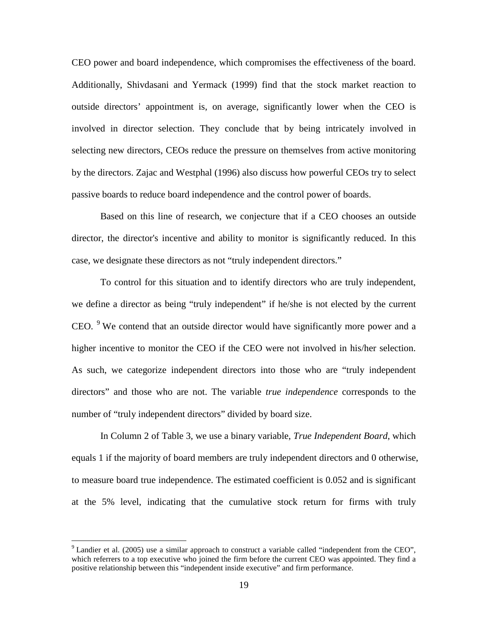CEO power and board independence, which compromises the effectiveness of the board. Additionally, Shivdasani and Yermack (1999) find that the stock market reaction to outside directors' appointment is, on average, significantly lower when the CEO is involved in director selection. They conclude that by being intricately involved in selecting new directors, CEOs reduce the pressure on themselves from active monitoring by the directors. Zajac and Westphal (1996) also discuss how powerful CEOs try to select passive boards to reduce board independence and the control power of boards.

Based on this line of research, we conjecture that if a CEO chooses an outside director, the director's incentive and ability to monitor is significantly reduced. In this case, we designate these directors as not "truly independent directors."

To control for this situation and to identify directors who are truly independent, we define a director as being "truly independent" if he/she is not elected by the current CEO. <sup>[9](#page-20-0)</sup> We contend that an outside director would have significantly more power and a higher incentive to monitor the CEO if the CEO were not involved in his/her selection. As such, we categorize independent directors into those who are "truly independent directors" and those who are not. The variable *true independence* corresponds to the number of "truly independent directors" divided by board size.

In Column 2 of Table 3, we use a binary variable, *True Independent Board*, which equals 1 if the majority of board members are truly independent directors and 0 otherwise, to measure board true independence. The estimated coefficient is 0.052 and is significant at the 5% level, indicating that the cumulative stock return for firms with truly

 $\overline{a}$ 

<span id="page-20-0"></span><sup>&</sup>lt;sup>9</sup> Landier et al. (2005) use a similar approach to construct a variable called "independent from the CEO", which referrers to a top executive who joined the firm before the current CEO was appointed. They find a positive relationship between this "independent inside executive" and firm performance.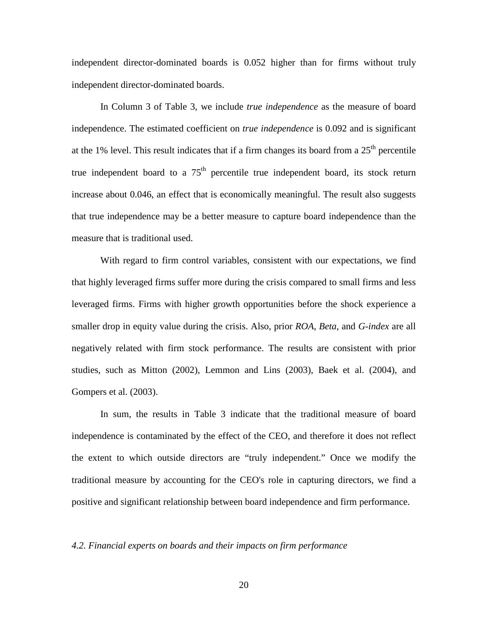independent director-dominated boards is 0.052 higher than for firms without truly independent director-dominated boards.

In Column 3 of Table 3, we include *true independence* as the measure of board independence. The estimated coefficient on *true independence* is 0.092 and is significant at the 1% level. This result indicates that if a firm changes its board from a  $25<sup>th</sup>$  percentile true independent board to a  $75<sup>th</sup>$  percentile true independent board, its stock return increase about 0.046, an effect that is economically meaningful. The result also suggests that true independence may be a better measure to capture board independence than the measure that is traditional used.

With regard to firm control variables, consistent with our expectations, we find that highly leveraged firms suffer more during the crisis compared to small firms and less leveraged firms. Firms with higher growth opportunities before the shock experience a smaller drop in equity value during the crisis. Also, prior *ROA*, *Beta*, and *G-index* are all negatively related with firm stock performance. The results are consistent with prior studies, such as Mitton (2002), Lemmon and Lins (2003), Baek et al. (2004), and Gompers et al. (2003).

In sum, the results in Table 3 indicate that the traditional measure of board independence is contaminated by the effect of the CEO, and therefore it does not reflect the extent to which outside directors are "truly independent." Once we modify the traditional measure by accounting for the CEO's role in capturing directors, we find a positive and significant relationship between board independence and firm performance.

#### *4.2. Financial experts on boards and their impacts on firm performance*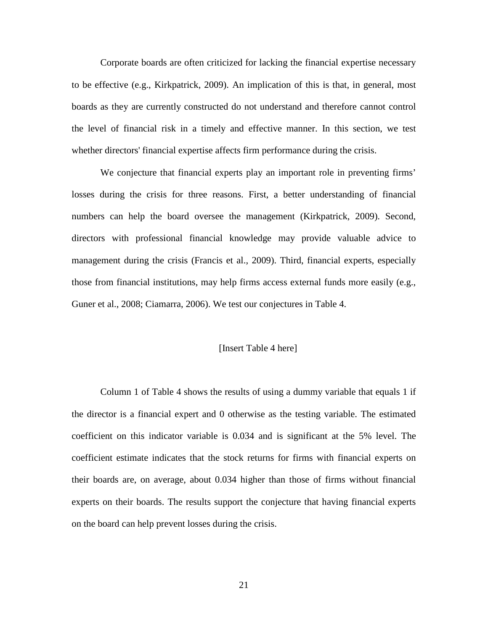Corporate boards are often criticized for lacking the financial expertise necessary to be effective (e.g., Kirkpatrick, 2009). An implication of this is that, in general, most boards as they are currently constructed do not understand and therefore cannot control the level of financial risk in a timely and effective manner. In this section, we test whether directors' financial expertise affects firm performance during the crisis.

We conjecture that financial experts play an important role in preventing firms' losses during the crisis for three reasons. First, a better understanding of financial numbers can help the board oversee the management (Kirkpatrick, 2009). Second, directors with professional financial knowledge may provide valuable advice to management during the crisis (Francis et al., 2009). Third, financial experts, especially those from financial institutions, may help firms access external funds more easily (e.g., Guner et al., 2008; Ciamarra, 2006). We test our conjectures in Table 4.

#### [Insert Table 4 here]

Column 1 of Table 4 shows the results of using a dummy variable that equals 1 if the director is a financial expert and 0 otherwise as the testing variable. The estimated coefficient on this indicator variable is 0.034 and is significant at the 5% level. The coefficient estimate indicates that the stock returns for firms with financial experts on their boards are, on average, about 0.034 higher than those of firms without financial experts on their boards. The results support the conjecture that having financial experts on the board can help prevent losses during the crisis.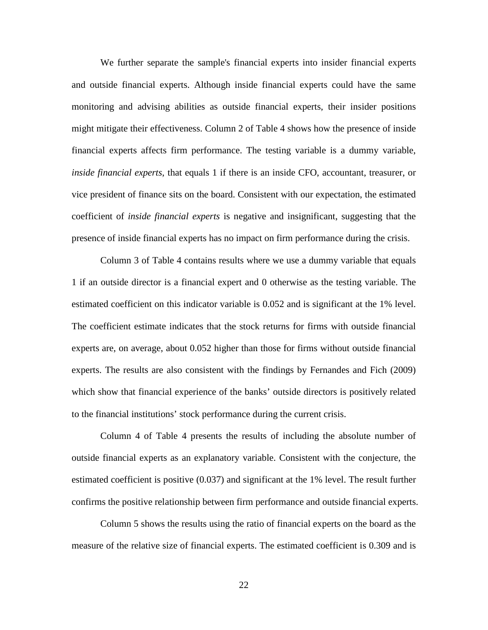We further separate the sample's financial experts into insider financial experts and outside financial experts. Although inside financial experts could have the same monitoring and advising abilities as outside financial experts, their insider positions might mitigate their effectiveness. Column 2 of Table 4 shows how the presence of inside financial experts affects firm performance. The testing variable is a dummy variable, *inside financial experts*, that equals 1 if there is an inside CFO, accountant, treasurer, or vice president of finance sits on the board. Consistent with our expectation, the estimated coefficient of *inside financial experts* is negative and insignificant, suggesting that the presence of inside financial experts has no impact on firm performance during the crisis.

Column 3 of Table 4 contains results where we use a dummy variable that equals 1 if an outside director is a financial expert and 0 otherwise as the testing variable. The estimated coefficient on this indicator variable is 0.052 and is significant at the 1% level. The coefficient estimate indicates that the stock returns for firms with outside financial experts are, on average, about 0.052 higher than those for firms without outside financial experts. The results are also consistent with the findings by Fernandes and Fich (2009) which show that financial experience of the banks' outside directors is positively related to the financial institutions' stock performance during the current crisis.

Column 4 of Table 4 presents the results of including the absolute number of outside financial experts as an explanatory variable. Consistent with the conjecture, the estimated coefficient is positive (0.037) and significant at the 1% level. The result further confirms the positive relationship between firm performance and outside financial experts.

Column 5 shows the results using the ratio of financial experts on the board as the measure of the relative size of financial experts. The estimated coefficient is 0.309 and is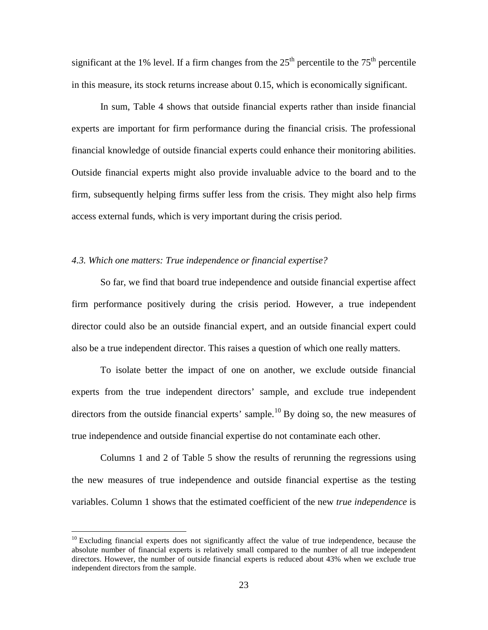significant at the 1% level. If a firm changes from the  $25<sup>th</sup>$  percentile to the  $75<sup>th</sup>$  percentile in this measure, its stock returns increase about 0.15, which is economically significant.

In sum, Table 4 shows that outside financial experts rather than inside financial experts are important for firm performance during the financial crisis. The professional financial knowledge of outside financial experts could enhance their monitoring abilities. Outside financial experts might also provide invaluable advice to the board and to the firm, subsequently helping firms suffer less from the crisis. They might also help firms access external funds, which is very important during the crisis period.

#### *4.3. Which one matters: True independence or financial expertise?*

So far, we find that board true independence and outside financial expertise affect firm performance positively during the crisis period. However, a true independent director could also be an outside financial expert, and an outside financial expert could also be a true independent director. This raises a question of which one really matters.

To isolate better the impact of one on another, we exclude outside financial experts from the true independent directors' sample, and exclude true independent directors from the outside financial experts' sample.<sup>[10](#page-24-0)</sup> By doing so, the new measures of true independence and outside financial expertise do not contaminate each other.

Columns 1 and 2 of Table 5 show the results of rerunning the regressions using the new measures of true independence and outside financial expertise as the testing variables. Column 1 shows that the estimated coefficient of the new *true independence* is

 $\overline{a}$ 

<span id="page-24-0"></span> $10$  Excluding financial experts does not significantly affect the value of true independence, because the absolute number of financial experts is relatively small compared to the number of all true independent directors. However, the number of outside financial experts is reduced about 43% when we exclude true independent directors from the sample.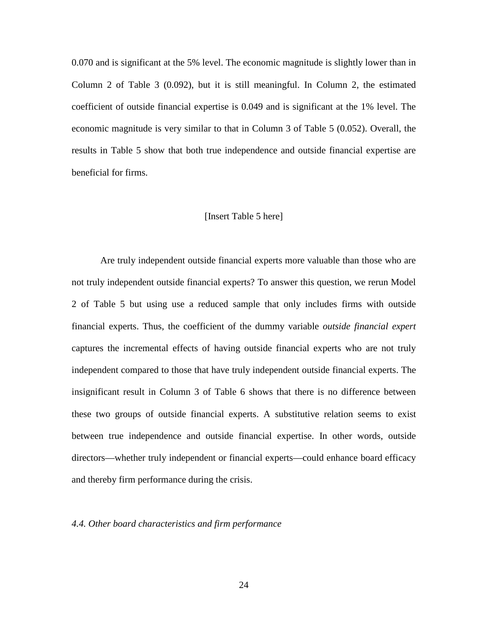0.070 and is significant at the 5% level. The economic magnitude is slightly lower than in Column 2 of Table 3 (0.092), but it is still meaningful. In Column 2, the estimated coefficient of outside financial expertise is 0.049 and is significant at the 1% level. The economic magnitude is very similar to that in Column 3 of Table 5 (0.052). Overall, the results in Table 5 show that both true independence and outside financial expertise are beneficial for firms.

#### [Insert Table 5 here]

Are truly independent outside financial experts more valuable than those who are not truly independent outside financial experts? To answer this question, we rerun Model 2 of Table 5 but using use a reduced sample that only includes firms with outside financial experts. Thus, the coefficient of the dummy variable *outside financial expert* captures the incremental effects of having outside financial experts who are not truly independent compared to those that have truly independent outside financial experts. The insignificant result in Column 3 of Table 6 shows that there is no difference between these two groups of outside financial experts. A substitutive relation seems to exist between true independence and outside financial expertise. In other words, outside directors—whether truly independent or financial experts—could enhance board efficacy and thereby firm performance during the crisis.

#### *4.4. Other board characteristics and firm performance*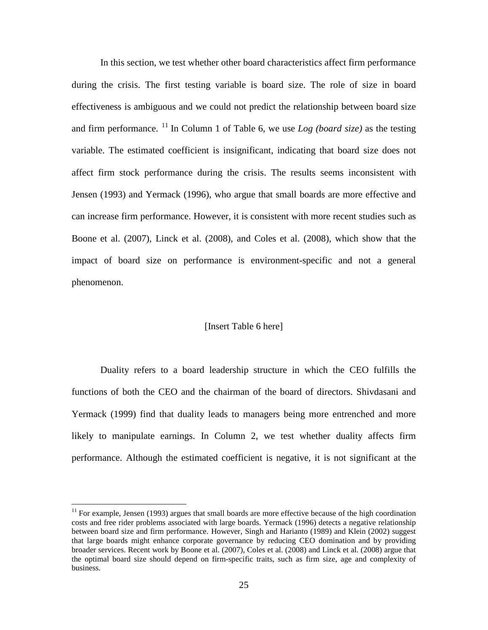In this section, we test whether other board characteristics affect firm performance during the crisis. The first testing variable is board size. The role of size in board effectiveness is ambiguous and we could not predict the relationship between board size and firm performance. <sup>[11](#page-26-0)</sup> In Column 1 of Table 6, we use *Log (board size)* as the testing variable. The estimated coefficient is insignificant, indicating that board size does not affect firm stock performance during the crisis. The results seems inconsistent with Jensen (1993) and Yermack (1996), who argue that small boards are more effective and can increase firm performance. However, it is consistent with more recent studies such as Boone et al. (2007), Linck et al. (2008), and Coles et al. (2008), which show that the impact of board size on performance is environment-specific and not a general phenomenon.

#### [Insert Table 6 here]

Duality refers to a board leadership structure in which the CEO fulfills the functions of both the CEO and the chairman of the board of directors. Shivdasani and Yermack (1999) find that duality leads to managers being more entrenched and more likely to manipulate earnings. In Column 2, we test whether duality affects firm performance. Although the estimated coefficient is negative, it is not significant at the

 $\overline{a}$ 

<span id="page-26-0"></span><sup>&</sup>lt;sup>11</sup> For example, Jensen (1993) argues that small boards are more effective because of the high coordination costs and free rider problems associated with large boards. Yermack (1996) detects a negative relationship between board size and firm performance. However, Singh and Harianto (1989) and Klein (2002) suggest that large boards might enhance corporate governance by reducing CEO domination and by providing broader services. Recent work by Boone et al. (2007), Coles et al. (2008) and Linck et al. (2008) argue that the optimal board size should depend on firm-specific traits, such as firm size, age and complexity of business.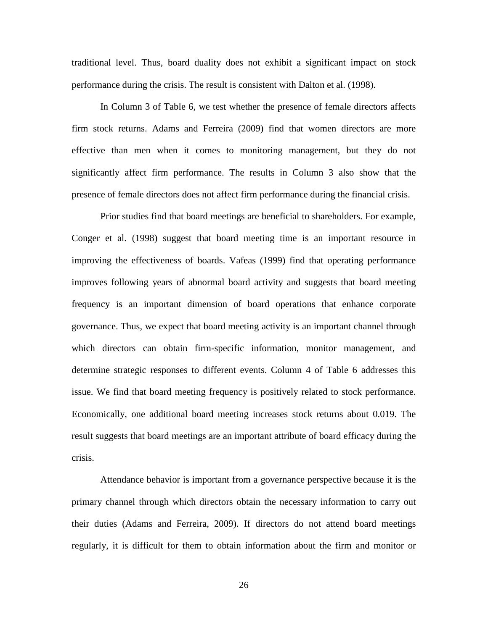traditional level. Thus, board duality does not exhibit a significant impact on stock performance during the crisis. The result is consistent with Dalton et al. (1998).

In Column 3 of Table 6, we test whether the presence of female directors affects firm stock returns. Adams and Ferreira (2009) find that women directors are more effective than men when it comes to monitoring management, but they do not significantly affect firm performance. The results in Column 3 also show that the presence of female directors does not affect firm performance during the financial crisis.

Prior studies find that board meetings are beneficial to shareholders. For example, Conger et al. (1998) suggest that board meeting time is an important resource in improving the effectiveness of boards. Vafeas (1999) find that operating performance improves following years of abnormal board activity and suggests that board meeting frequency is an important dimension of board operations that enhance corporate governance. Thus, we expect that board meeting activity is an important channel through which directors can obtain firm-specific information, monitor management, and determine strategic responses to different events. Column 4 of Table 6 addresses this issue. We find that board meeting frequency is positively related to stock performance. Economically, one additional board meeting increases stock returns about 0.019. The result suggests that board meetings are an important attribute of board efficacy during the crisis.

Attendance behavior is important from a governance perspective because it is the primary channel through which directors obtain the necessary information to carry out their duties (Adams and Ferreira, 2009). If directors do not attend board meetings regularly, it is difficult for them to obtain information about the firm and monitor or

26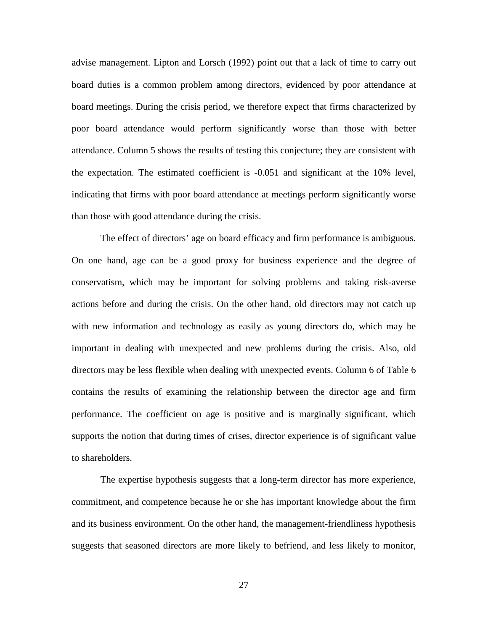advise management. Lipton and Lorsch (1992) point out that a lack of time to carry out board duties is a common problem among directors, evidenced by poor attendance at board meetings. During the crisis period, we therefore expect that firms characterized by poor board attendance would perform significantly worse than those with better attendance. Column 5 shows the results of testing this conjecture; they are consistent with the expectation. The estimated coefficient is -0.051 and significant at the 10% level, indicating that firms with poor board attendance at meetings perform significantly worse than those with good attendance during the crisis.

The effect of directors' age on board efficacy and firm performance is ambiguous. On one hand, age can be a good proxy for business experience and the degree of conservatism, which may be important for solving problems and taking risk-averse actions before and during the crisis. On the other hand, old directors may not catch up with new information and technology as easily as young directors do, which may be important in dealing with unexpected and new problems during the crisis. Also, old directors may be less flexible when dealing with unexpected events. Column 6 of Table 6 contains the results of examining the relationship between the director age and firm performance. The coefficient on age is positive and is marginally significant, which supports the notion that during times of crises, director experience is of significant value to shareholders.

The expertise hypothesis suggests that a long-term director has more experience, commitment, and competence because he or she has important knowledge about the firm and its business environment. On the other hand, the management-friendliness hypothesis suggests that seasoned directors are more likely to befriend, and less likely to monitor,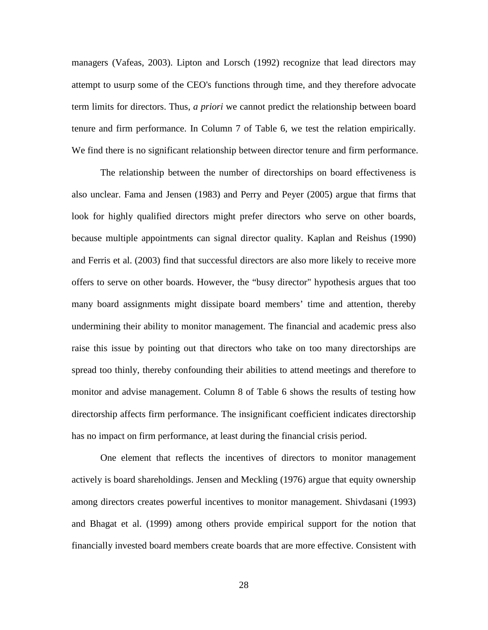managers (Vafeas, 2003). Lipton and Lorsch (1992) recognize that lead directors may attempt to usurp some of the CEO's functions through time, and they therefore advocate term limits for directors. Thus, *a priori* we cannot predict the relationship between board tenure and firm performance. In Column 7 of Table 6, we test the relation empirically. We find there is no significant relationship between director tenure and firm performance.

The relationship between the number of directorships on board effectiveness is also unclear. Fama and Jensen (1983) and Perry and Peyer (2005) argue that firms that look for highly qualified directors might prefer directors who serve on other boards, because multiple appointments can signal director quality. Kaplan and Reishus (1990) and Ferris et al. (2003) find that successful directors are also more likely to receive more offers to serve on other boards. However, the "busy director" hypothesis argues that too many board assignments might dissipate board members' time and attention, thereby undermining their ability to monitor management. The financial and academic press also raise this issue by pointing out that directors who take on too many directorships are spread too thinly, thereby confounding their abilities to attend meetings and therefore to monitor and advise management. Column 8 of Table 6 shows the results of testing how directorship affects firm performance. The insignificant coefficient indicates directorship has no impact on firm performance, at least during the financial crisis period.

One element that reflects the incentives of directors to monitor management actively is board shareholdings. Jensen and Meckling (1976) argue that equity ownership among directors creates powerful incentives to monitor management. Shivdasani (1993) and Bhagat et al. (1999) among others provide empirical support for the notion that financially invested board members create boards that are more effective. Consistent with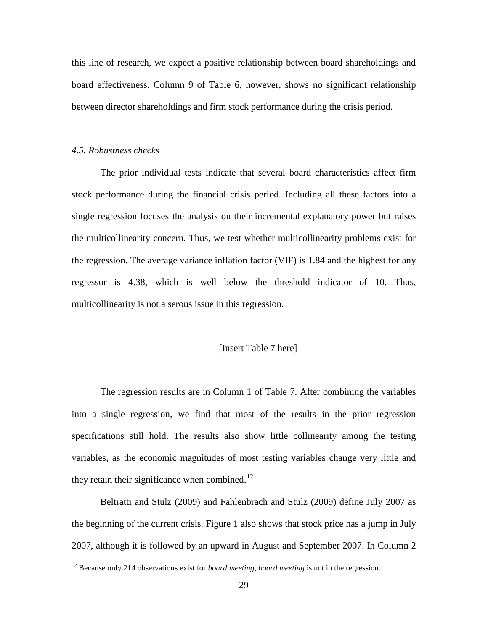this line of research, we expect a positive relationship between board shareholdings and board effectiveness. Column 9 of Table 6, however, shows no significant relationship between director shareholdings and firm stock performance during the crisis period.

#### *4.5. Robustness checks*

 $\overline{a}$ 

The prior individual tests indicate that several board characteristics affect firm stock performance during the financial crisis period. Including all these factors into a single regression focuses the analysis on their incremental explanatory power but raises the multicollinearity concern. Thus, we test whether multicollinearity problems exist for the regression. The average variance inflation factor (VIF) is 1.84 and the highest for any regressor is 4.38, which is well below the threshold indicator of 10. Thus, multicollinearity is not a serous issue in this regression.

#### [Insert Table 7 here]

The regression results are in Column 1 of Table 7. After combining the variables into a single regression, we find that most of the results in the prior regression specifications still hold. The results also show little collinearity among the testing variables, as the economic magnitudes of most testing variables change very little and they retain their significance when combined.<sup>[12](#page-30-0)</sup>

Beltratti and Stulz (2009) and Fahlenbrach and Stulz (2009) define July 2007 as the beginning of the current crisis. Figure 1 also shows that stock price has a jump in July 2007, although it is followed by an upward in August and September 2007. In Column 2

<span id="page-30-0"></span><sup>&</sup>lt;sup>12</sup> Because only 214 observations exist for *board meeting*, *board meeting* is not in the regression.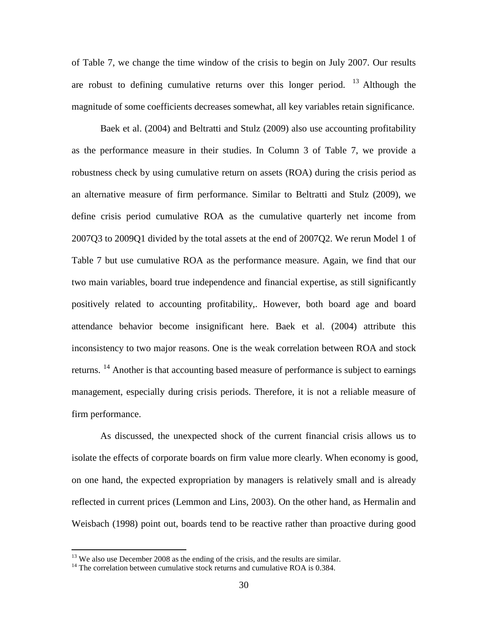of Table 7, we change the time window of the crisis to begin on July 2007. Our results are robust to defining cumulative returns over this longer period.  $13$  Although the magnitude of some coefficients decreases somewhat, all key variables retain significance.

Baek et al. (2004) and Beltratti and Stulz (2009) also use accounting profitability as the performance measure in their studies. In Column 3 of Table 7, we provide a robustness check by using cumulative return on assets (ROA) during the crisis period as an alternative measure of firm performance. Similar to Beltratti and Stulz (2009), we define crisis period cumulative ROA as the cumulative quarterly net income from 2007Q3 to 2009Q1 divided by the total assets at the end of 2007Q2. We rerun Model 1 of Table 7 but use cumulative ROA as the performance measure. Again, we find that our two main variables, board true independence and financial expertise, as still significantly positively related to accounting profitability,. However, both board age and board attendance behavior become insignificant here. Baek et al. (2004) attribute this inconsistency to two major reasons. One is the weak correlation between ROA and stock returns. <sup>[14](#page-31-1)</sup> Another is that accounting based measure of performance is subject to earnings management, especially during crisis periods. Therefore, it is not a reliable measure of firm performance.

As discussed, the unexpected shock of the current financial crisis allows us to isolate the effects of corporate boards on firm value more clearly. When economy is good, on one hand, the expected expropriation by managers is relatively small and is already reflected in current prices (Lemmon and Lins, 2003). On the other hand, as Hermalin and Weisbach (1998) point out, boards tend to be reactive rather than proactive during good

<span id="page-31-0"></span> $^{13}$  We also use December 2008 as the ending of the crisis, and the results are similar.

<span id="page-31-1"></span> $14$  The correlation between cumulative stock returns and cumulative ROA is 0.384.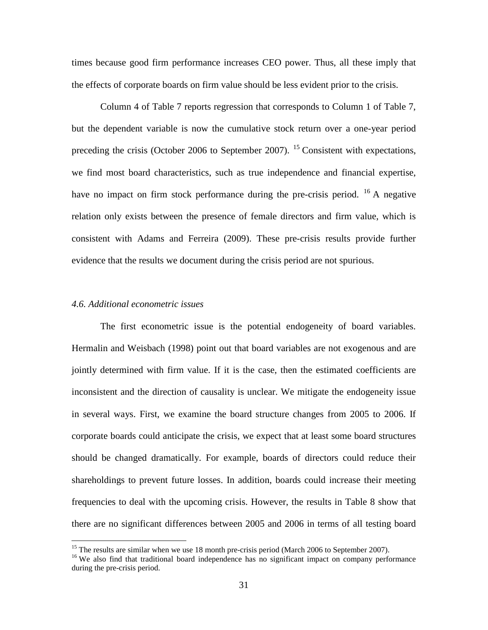times because good firm performance increases CEO power. Thus, all these imply that the effects of corporate boards on firm value should be less evident prior to the crisis.

Column 4 of Table 7 reports regression that corresponds to Column 1 of Table 7, but the dependent variable is now the cumulative stock return over a one-year period preceding the crisis (October 2006 to September 2007). <sup>[15](#page-32-0)</sup> Consistent with expectations, we find most board characteristics, such as true independence and financial expertise, have no impact on firm stock performance during the pre-crisis period. <sup>[16](#page-32-1)</sup> A negative relation only exists between the presence of female directors and firm value, which is consistent with Adams and Ferreira (2009). These pre-crisis results provide further evidence that the results we document during the crisis period are not spurious.

#### *4.6. Additional econometric issues*

The first econometric issue is the potential endogeneity of board variables. Hermalin and Weisbach (1998) point out that board variables are not exogenous and are jointly determined with firm value. If it is the case, then the estimated coefficients are inconsistent and the direction of causality is unclear. We mitigate the endogeneity issue in several ways. First, we examine the board structure changes from 2005 to 2006. If corporate boards could anticipate the crisis, we expect that at least some board structures should be changed dramatically. For example, boards of directors could reduce their shareholdings to prevent future losses. In addition, boards could increase their meeting frequencies to deal with the upcoming crisis. However, the results in Table 8 show that there are no significant differences between 2005 and 2006 in terms of all testing board

<span id="page-32-0"></span> $15$  The results are similar when we use 18 month pre-crisis period (March 2006 to September 2007).

<span id="page-32-1"></span><sup>&</sup>lt;sup>16</sup> We also find that traditional board independence has no significant impact on company performance during the pre-crisis period.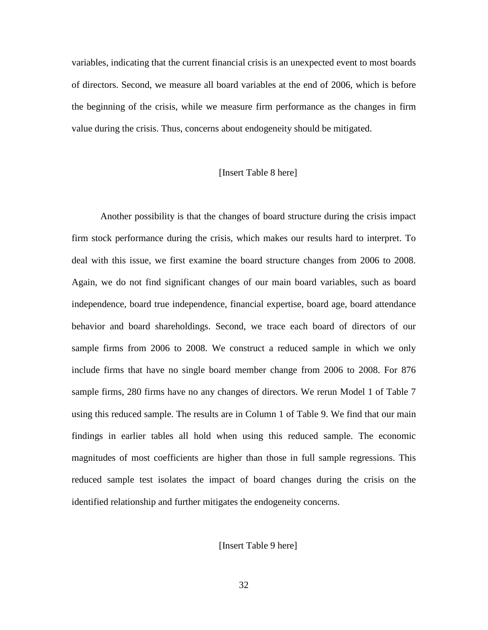variables, indicating that the current financial crisis is an unexpected event to most boards of directors. Second, we measure all board variables at the end of 2006, which is before the beginning of the crisis, while we measure firm performance as the changes in firm value during the crisis. Thus, concerns about endogeneity should be mitigated.

# [Insert Table 8 here]

Another possibility is that the changes of board structure during the crisis impact firm stock performance during the crisis, which makes our results hard to interpret. To deal with this issue, we first examine the board structure changes from 2006 to 2008. Again, we do not find significant changes of our main board variables, such as board independence, board true independence, financial expertise, board age, board attendance behavior and board shareholdings. Second, we trace each board of directors of our sample firms from 2006 to 2008. We construct a reduced sample in which we only include firms that have no single board member change from 2006 to 2008. For 876 sample firms, 280 firms have no any changes of directors. We rerun Model 1 of Table 7 using this reduced sample. The results are in Column 1 of Table 9. We find that our main findings in earlier tables all hold when using this reduced sample. The economic magnitudes of most coefficients are higher than those in full sample regressions. This reduced sample test isolates the impact of board changes during the crisis on the identified relationship and further mitigates the endogeneity concerns.

[Insert Table 9 here]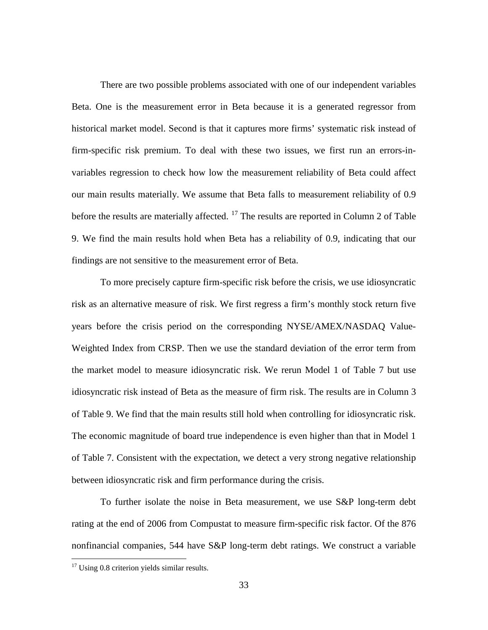There are two possible problems associated with one of our independent variables Beta. One is the measurement error in Beta because it is a generated regressor from historical market model. Second is that it captures more firms' systematic risk instead of firm-specific risk premium. To deal with these two issues, we first run an errors-invariables regression to check how low the measurement reliability of Beta could affect our main results materially. We assume that Beta falls to measurement reliability of 0.9 before the results are materially affected.  $17$  The results are reported in Column 2 of Table 9. We find the main results hold when Beta has a reliability of 0.9, indicating that our findings are not sensitive to the measurement error of Beta.

To more precisely capture firm-specific risk before the crisis, we use idiosyncratic risk as an alternative measure of risk. We first regress a firm's monthly stock return five years before the crisis period on the corresponding NYSE/AMEX/NASDAQ Value-Weighted Index from CRSP. Then we use the standard deviation of the error term from the market model to measure idiosyncratic risk. We rerun Model 1 of Table 7 but use idiosyncratic risk instead of Beta as the measure of firm risk. The results are in Column 3 of Table 9. We find that the main results still hold when controlling for idiosyncratic risk. The economic magnitude of board true independence is even higher than that in Model 1 of Table 7. Consistent with the expectation, we detect a very strong negative relationship between idiosyncratic risk and firm performance during the crisis.

To further isolate the noise in Beta measurement, we use S&P long-term debt rating at the end of 2006 from Compustat to measure firm-specific risk factor. Of the 876 nonfinancial companies, 544 have S&P long-term debt ratings. We construct a variable

 $\overline{a}$ 

<span id="page-34-0"></span><sup>&</sup>lt;sup>17</sup> Using 0.8 criterion yields similar results.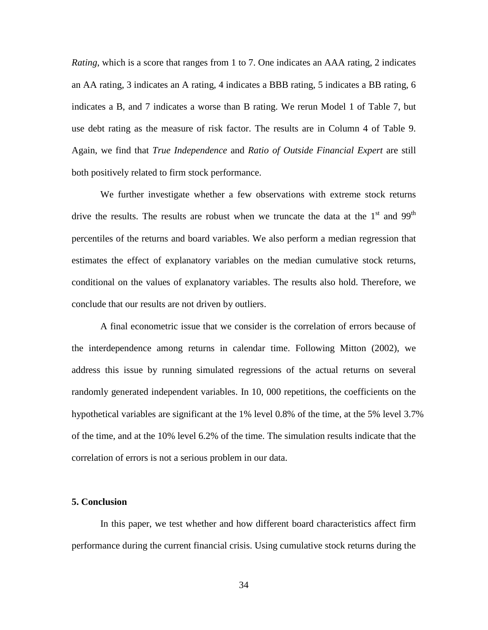*Rating*, which is a score that ranges from 1 to 7. One indicates an AAA rating, 2 indicates an AA rating, 3 indicates an A rating, 4 indicates a BBB rating, 5 indicates a BB rating, 6 indicates a B, and 7 indicates a worse than B rating. We rerun Model 1 of Table 7, but use debt rating as the measure of risk factor. The results are in Column 4 of Table 9. Again, we find that *True Independence* and *Ratio of Outside Financial Expert* are still both positively related to firm stock performance.

We further investigate whether a few observations with extreme stock returns drive the results. The results are robust when we truncate the data at the  $1<sup>st</sup>$  and 99<sup>th</sup> percentiles of the returns and board variables. We also perform a median regression that estimates the effect of explanatory variables on the median cumulative stock returns, conditional on the values of explanatory variables. The results also hold. Therefore, we conclude that our results are not driven by outliers.

A final econometric issue that we consider is the correlation of errors because of the interdependence among returns in calendar time. Following Mitton (2002), we address this issue by running simulated regressions of the actual returns on several randomly generated independent variables. In 10, 000 repetitions, the coefficients on the hypothetical variables are significant at the 1% level 0.8% of the time, at the 5% level 3.7% of the time, and at the 10% level 6.2% of the time. The simulation results indicate that the correlation of errors is not a serious problem in our data.

#### **5. Conclusion**

In this paper, we test whether and how different board characteristics affect firm performance during the current financial crisis. Using cumulative stock returns during the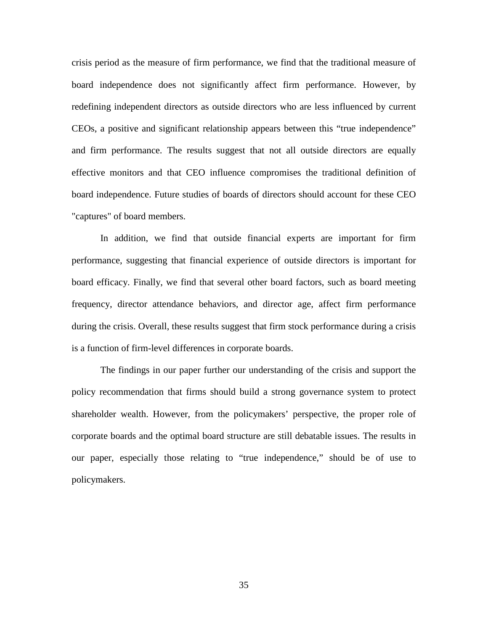crisis period as the measure of firm performance, we find that the traditional measure of board independence does not significantly affect firm performance. However, by redefining independent directors as outside directors who are less influenced by current CEOs, a positive and significant relationship appears between this "true independence" and firm performance. The results suggest that not all outside directors are equally effective monitors and that CEO influence compromises the traditional definition of board independence. Future studies of boards of directors should account for these CEO "captures" of board members.

In addition, we find that outside financial experts are important for firm performance, suggesting that financial experience of outside directors is important for board efficacy. Finally, we find that several other board factors, such as board meeting frequency, director attendance behaviors, and director age, affect firm performance during the crisis. Overall, these results suggest that firm stock performance during a crisis is a function of firm-level differences in corporate boards.

The findings in our paper further our understanding of the crisis and support the policy recommendation that firms should build a strong governance system to protect shareholder wealth. However, from the policymakers' perspective, the proper role of corporate boards and the optimal board structure are still debatable issues. The results in our paper, especially those relating to "true independence," should be of use to policymakers.

35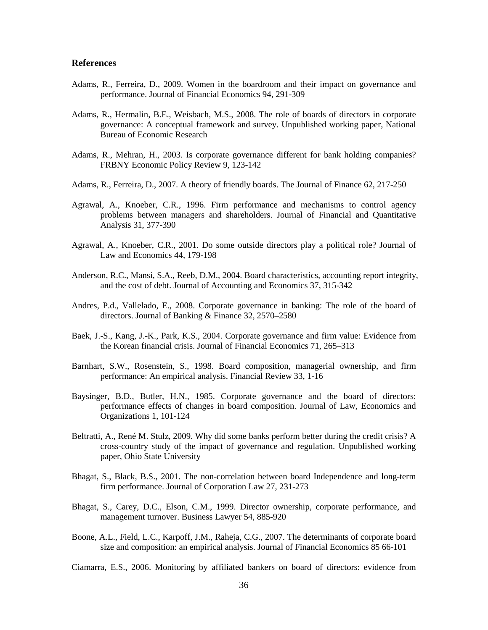#### **References**

- Adams, R., Ferreira, D., 2009. Women in the boardroom and their impact on governance and performance. Journal of Financial Economics 94, 291-309
- Adams, R., Hermalin, B.E., Weisbach, M.S., 2008. The role of boards of directors in corporate governance: A conceptual framework and survey. Unpublished working paper, National Bureau of Economic Research
- Adams, R., Mehran, H., 2003. Is corporate governance different for bank holding companies? FRBNY Economic Policy Review 9, 123-142
- Adams, R., Ferreira, D., 2007. A theory of friendly boards. The Journal of Finance 62, 217-250
- Agrawal, A., Knoeber, C.R., 1996. Firm performance and mechanisms to control agency problems between managers and shareholders. Journal of Financial and Quantitative Analysis 31, 377-390
- Agrawal, A., Knoeber, C.R., 2001. Do some outside directors play a political role? Journal of Law and Economics 44, 179-198
- Anderson, R.C., Mansi, S.A., Reeb, D.M., 2004. Board characteristics, accounting report integrity, and the cost of debt. Journal of Accounting and Economics 37, 315-342
- Andres, P.d., Vallelado, E., 2008. Corporate governance in banking: The role of the board of directors. Journal of Banking & Finance 32, 2570–2580
- Baek, J.-S., Kang, J.-K., Park, K.S., 2004. Corporate governance and firm value: Evidence from the Korean financial crisis. Journal of Financial Economics 71, 265–313
- Barnhart, S.W., Rosenstein, S., 1998. Board composition, managerial ownership, and firm performance: An empirical analysis. Financial Review 33, 1-16
- Baysinger, B.D., Butler, H.N., 1985. Corporate governance and the board of directors: performance effects of changes in board composition. Journal of Law, Economics and Organizations 1, 101-124
- Beltratti, A., René M. Stulz, 2009. Why did some banks perform better during the credit crisis? A cross-country study of the impact of governance and regulation. Unpublished working paper, Ohio State University
- Bhagat, S., Black, B.S., 2001. The non-correlation between board Independence and long-term firm performance. Journal of Corporation Law 27, 231-273
- Bhagat, S., Carey, D.C., Elson, C.M., 1999. Director ownership, corporate performance, and management turnover. Business Lawyer 54, 885-920
- Boone, A.L., Field, L.C., Karpoff, J.M., Raheja, C.G., 2007. The determinants of corporate board size and composition: an empirical analysis. Journal of Financial Economics 85 66-101

Ciamarra, E.S., 2006. Monitoring by affiliated bankers on board of directors: evidence from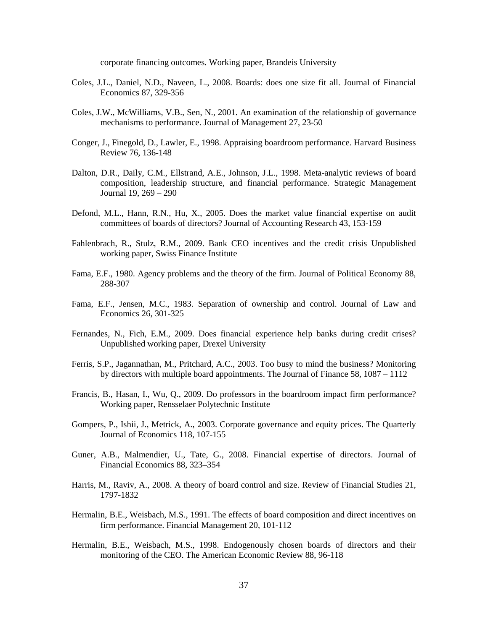corporate financing outcomes. Working paper, Brandeis University

- Coles, J.L., Daniel, N.D., Naveen, L., 2008. Boards: does one size fit all. Journal of Financial Economics 87, 329-356
- Coles, J.W., McWilliams, V.B., Sen, N., 2001. An examination of the relationship of governance mechanisms to performance. Journal of Management 27, 23-50
- Conger, J., Finegold, D., Lawler, E., 1998. Appraising boardroom performance. Harvard Business Review 76, 136-148
- Dalton, D.R., Daily, C.M., Ellstrand, A.E., Johnson, J.L., 1998. Meta-analytic reviews of board composition, leadership structure, and financial performance. Strategic Management Journal 19, 269 – 290
- Defond, M.L., Hann, R.N., Hu, X., 2005. Does the market value financial expertise on audit committees of boards of directors? Journal of Accounting Research 43, 153-159
- Fahlenbrach, R., Stulz, R.M., 2009. Bank CEO incentives and the credit crisis Unpublished working paper, Swiss Finance Institute
- Fama, E.F., 1980. Agency problems and the theory of the firm. Journal of Political Economy 88, 288-307
- Fama, E.F., Jensen, M.C., 1983. Separation of ownership and control. Journal of Law and Economics 26, 301-325
- Fernandes, N., Fich, E.M., 2009. Does financial experience help banks during credit crises? Unpublished working paper, Drexel University
- Ferris, S.P., Jagannathan, M., Pritchard, A.C., 2003. Too busy to mind the business? Monitoring by directors with multiple board appointments. The Journal of Finance 58, 1087 – 1112
- Francis, B., Hasan, I., Wu, Q., 2009. Do professors in the boardroom impact firm performance? Working paper, Rensselaer Polytechnic Institute
- Gompers, P., Ishii, J., Metrick, A., 2003. Corporate governance and equity prices. The Quarterly Journal of Economics 118, 107-155
- Guner, A.B., Malmendier, U., Tate, G., 2008. Financial expertise of directors. Journal of Financial Economics 88, 323–354
- Harris, M., Raviv, A., 2008. A theory of board control and size. Review of Financial Studies 21, 1797-1832
- Hermalin, B.E., Weisbach, M.S., 1991. The effects of board composition and direct incentives on firm performance. Financial Management 20, 101-112
- Hermalin, B.E., Weisbach, M.S., 1998. Endogenously chosen boards of directors and their monitoring of the CEO. The American Economic Review 88, 96-118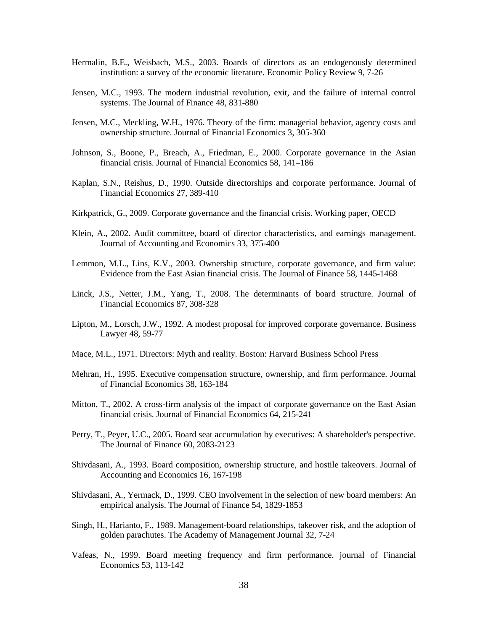- Hermalin, B.E., Weisbach, M.S., 2003. Boards of directors as an endogenously determined institution: a survey of the economic literature. Economic Policy Review 9, 7-26
- Jensen, M.C., 1993. The modern industrial revolution, exit, and the failure of internal control systems. The Journal of Finance 48, 831-880
- Jensen, M.C., Meckling, W.H., 1976. Theory of the firm: managerial behavior, agency costs and ownership structure. Journal of Financial Economics 3, 305-360
- Johnson, S., Boone, P., Breach, A., Friedman, E., 2000. Corporate governance in the Asian financial crisis. Journal of Financial Economics 58, 141–186
- Kaplan, S.N., Reishus, D., 1990. Outside directorships and corporate performance. Journal of Financial Economics 27, 389-410
- Kirkpatrick, G., 2009. Corporate governance and the financial crisis. Working paper, OECD
- Klein, A., 2002. Audit committee, board of director characteristics, and earnings management. Journal of Accounting and Economics 33, 375-400
- Lemmon, M.L., Lins, K.V., 2003. Ownership structure, corporate governance, and firm value: Evidence from the East Asian financial crisis. The Journal of Finance 58, 1445-1468
- Linck, J.S., Netter, J.M., Yang, T., 2008. The determinants of board structure. Journal of Financial Economics 87, 308-328
- Lipton, M., Lorsch, J.W., 1992. A modest proposal for improved corporate governance. Business Lawyer 48, 59-77
- Mace, M.L., 1971. Directors: Myth and reality. Boston: Harvard Business School Press
- Mehran, H., 1995. Executive compensation structure, ownership, and firm performance. Journal of Financial Economics 38, 163-184
- Mitton, T., 2002. A cross-firm analysis of the impact of corporate governance on the East Asian financial crisis. Journal of Financial Economics 64, 215-241
- Perry, T., Peyer, U.C., 2005. Board seat accumulation by executives: A shareholder's perspective. The Journal of Finance 60, 2083-2123
- Shivdasani, A., 1993. Board composition, ownership structure, and hostile takeovers. Journal of Accounting and Economics 16, 167-198
- Shivdasani, A., Yermack, D., 1999. CEO involvement in the selection of new board members: An empirical analysis. The Journal of Finance 54, 1829-1853
- Singh, H., Harianto, F., 1989. Management-board relationships, takeover risk, and the adoption of golden parachutes. The Academy of Management Journal 32, 7-24
- Vafeas, N., 1999. Board meeting frequency and firm performance. journal of Financial Economics 53, 113-142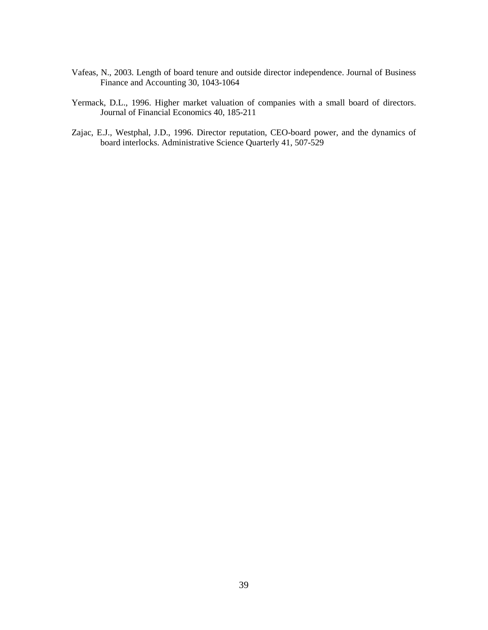- Vafeas, N., 2003. Length of board tenure and outside director independence. Journal of Business Finance and Accounting 30, 1043-1064
- Yermack, D.L., 1996. Higher market valuation of companies with a small board of directors. Journal of Financial Economics 40, 185-211
- Zajac, E.J., Westphal, J.D., 1996. Director reputation, CEO-board power, and the dynamics of board interlocks. Administrative Science Quarterly 41, 507-529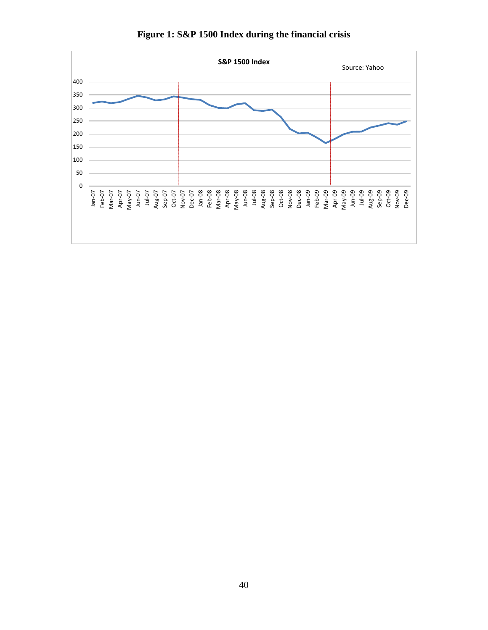

**Figure 1: S&P 1500 Index during the financial crisis**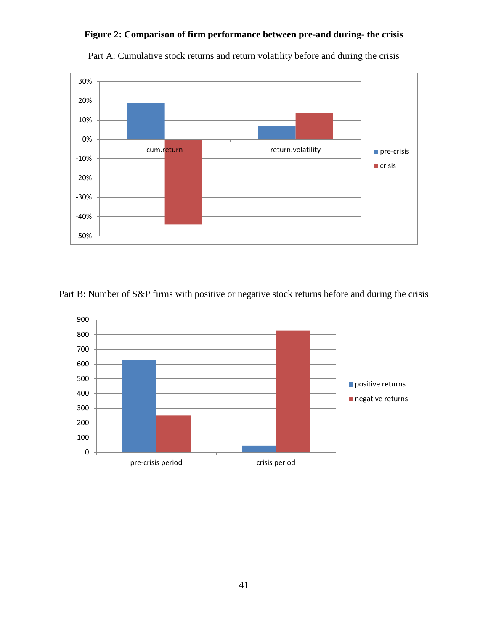# **Figure 2: Comparison of firm performance between pre-and during- the crisis**



Part A: Cumulative stock returns and return volatility before and during the crisis

Part B: Number of S&P firms with positive or negative stock returns before and during the crisis

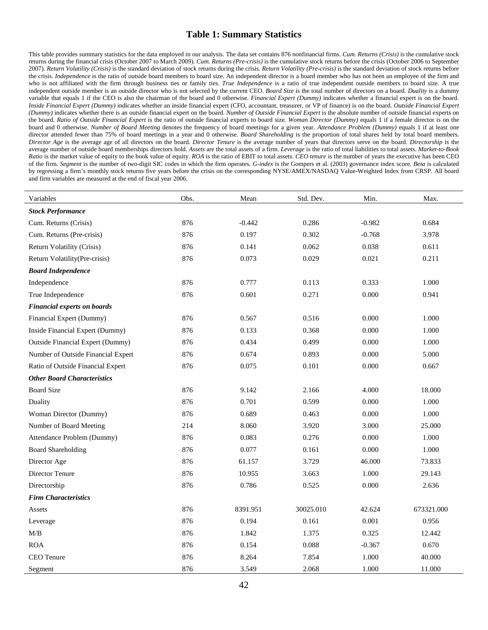### **Table 1: Summary Statistics**

This table provides summary statistics for the data employed in our analysis. The data set contains 876 nonfinancial firms. *Cum. Returns (Crisis)* is the cumulative stock returns during the financial crisis (October 2007 to March 2009). *Cum. Returns (Pre-crisis)* is the cumulative stock returns before the crisis (October 2006 to September 2007). *Return Volatility (Crisis)* is the standard deviation of stock returns during the crisis. *Return Volatility (Pre-crisis)* is the standard deviation of stock returns before the crisis. *Independence* is the ratio of outside board members to board size. An independent director is a board member who has not been an employee of the firm and who is not affiliated with the firm through business ties or family ties. True Independence is a ratio of true independent outside members to board size. A true independent outside member is an outside director who is not selected by the current CEO. *Board Size* is the total number of directors on a board. *Duality* is a dummy variable that equals 1 if the CEO is also the chairman of the board and 0 otherwise. *Financial Expert (Dummy)* indicates whether a financial expert is on the board. *Inside Financial Expert (Dummy)* indicates whether an inside financial expert (CFO, accountant, treasurer, or VP of finance) is on the board. *Outside Financial Expert (Dummy)* indicates whether there is an outside financial expert on the board. *Number of Outside Financial Expert* is the absolute number of outside financial experts on the board. *Ratio of Outside Financial Expert* is the ratio of outside financial experts to board size. *Woman Director (Dummy)* equals 1 if a female director is on the board and 0 otherwise. *Number of Board Meeting* denotes the frequency of board meetings for a given year. *Attendance Problem (Dummy)* equals 1 if at least one director attended fewer than 75% of board meetings in a year and 0 otherwise. *Board Shareholding* is the proportion of total shares held by total board members. *Director Age* is the average age of all directors on the board. *Director Tenure* is the average number of years that directors serve on the board. *Directorship* is the average number of outside board memberships directors hold. *Assets* are the total assets of a firm. *Leverage* is the ratio of total liabilities to total assets. *Market-to-Book Ratio* is the market value of equity to the book value of equity. *ROA* is the ratio of EBIT to total assets. *CEO tenure* is the number of years the executive has been CEO of the firm. *Segment* is the number of two-digit SIC codes in which the firm operates. *G-index* is the Gompers et al. (2003) governance index score. *Beta* is calculated by regressing a firm's monthly stock returns five years before the crisis on the corresponding NYSE/AMEX/NASDAQ Value-Weighted Index from CRSP. All board and firm variables are measured at the end of fiscal year 2006.

| Variables                               | Obs. | Mean     | Std. Dev. | Min.     | Max.       |
|-----------------------------------------|------|----------|-----------|----------|------------|
| <b>Stock Performance</b>                |      |          |           |          |            |
| Cum. Returns (Crisis)                   | 876  | $-0.442$ | 0.286     | $-0.982$ | 0.684      |
| Cum. Returns (Pre-crisis)               | 876  | 0.197    | 0.302     | $-0.768$ | 3.978      |
| Return Volatility (Crisis)              | 876  | 0.141    | 0.062     | 0.038    | 0.611      |
| Return Volatility(Pre-crisis)           | 876  | 0.073    | 0.029     | 0.021    | 0.211      |
| <b>Board Independence</b>               |      |          |           |          |            |
| Independence                            | 876  | 0.777    | 0.113     | 0.333    | 1.000      |
| True Independence                       | 876  | 0.601    | 0.271     | 0.000    | 0.941      |
| <b>Financial experts on boards</b>      |      |          |           |          |            |
| Financial Expert (Dummy)                | 876  | 0.567    | 0.516     | 0.000    | 1.000      |
| Inside Financial Expert (Dummy)         | 876  | 0.133    | 0.368     | 0.000    | 1.000      |
| <b>Outside Financial Expert (Dummy)</b> | 876  | 0.434    | 0.499     | 0.000    | 1.000      |
| Number of Outside Financial Expert      | 876  | 0.674    | 0.893     | 0.000    | 5.000      |
| Ratio of Outside Financial Expert       | 876  | 0.075    | 0.101     | 0.000    | 0.667      |
| <b>Other Board Characteristics</b>      |      |          |           |          |            |
| <b>Board Size</b>                       | 876  | 9.142    | 2.166     | 4.000    | 18.000     |
| Duality                                 | 876  | 0.701    | 0.599     | 0.000    | 1.000      |
| Woman Director (Dummy)                  | 876  | 0.689    | 0.463     | 0.000    | 1.000      |
| Number of Board Meeting                 | 214  | 8.060    | 3.920     | 3.000    | 25.000     |
| Attendance Problem (Dummy)              | 876  | 0.083    | 0.276     | 0.000    | 1.000      |
| <b>Board Shareholding</b>               | 876  | 0.077    | 0.161     | 0.000    | 1.000      |
| Director Age                            | 876  | 61.157   | 3.729     | 46.000   | 73.833     |
| Director Tenure                         | 876  | 10.955   | 3.663     | 1.000    | 29.143     |
| Directorship                            | 876  | 0.786    | 0.525     | 0.000    | 2.636      |
| <b>Firm Characteristics</b>             |      |          |           |          |            |
| Assets                                  | 876  | 8391.951 | 30025.010 | 42.624   | 673321.000 |
| Leverage                                | 876  | 0.194    | 0.161     | 0.001    | 0.956      |
| M/B                                     | 876  | 1.842    | 1.375     | 0.325    | 12.442     |
| <b>ROA</b>                              | 876  | 0.154    | 0.088     | $-0.367$ | 0.670      |
| CEO Tenure                              | 876  | 8.264    | 7.854     | 1.000    | 40.000     |
| Segment                                 | 876  | 3.549    | 2.068     | 1.000    | 11.000     |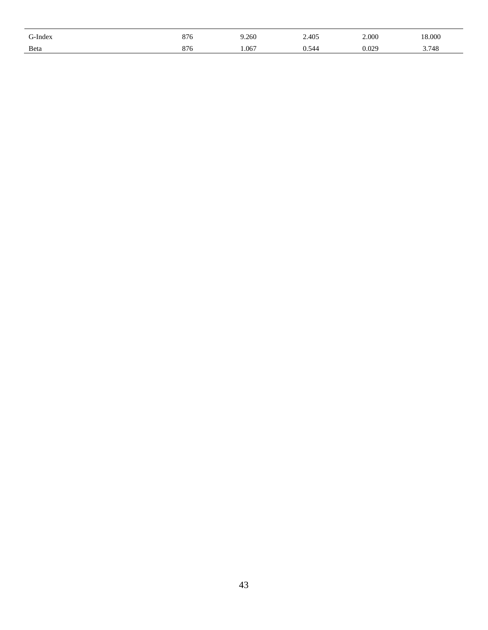| G-Index | 876 | 9.260 | 2.405 | 2.000 | 18.000 |
|---------|-----|-------|-------|-------|--------|
| Beta    | 876 | 1.067 | 0.544 | 0.029 | 3.748  |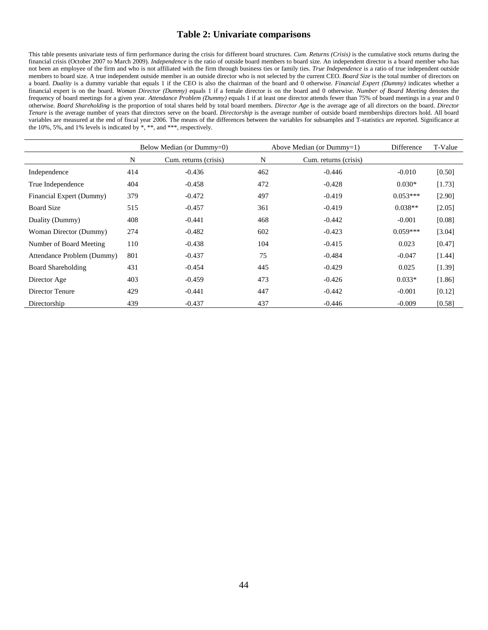#### **Table 2: Univariate comparisons**

This table presents univariate tests of firm performance during the crisis for different board structures. *Cum. Returns (Crisis)* is the cumulative stock returns during the financial crisis (October 2007 to March 2009). *Independence* is the ratio of outside board members to board size. An independent director is a board member who has not been an employee of the firm and who is not affiliated with the firm through business ties or family ties. *True Independence* is a ratio of true independent outside members to board size. A true independent outside member is an outside director who is not selected by the current CEO. *Board Size* is the total number of directors on a board. *Duality* is a dummy variable that equals 1 if the CEO is also the chairman of the board and 0 otherwise. *Financial Expert (Dummy)* indicates whether a financial expert is on the board. *Woman Director (Dummy)* equals 1 if a female director is on the board and 0 otherwise. *Number of Board Meeting* denotes the frequency of board meetings for a given year. *Attendance Problem (Dummy)* equals 1 if at least one director attends fewer than 75% of board meetings in a year and 0 otherwise. *Board Shareholding* is the proportion of total shares held by total board members. *Director Age* is the average age of all directors on the board. *Director Tenure* is the average number of years that directors serve on the board. *Directorship* is the average number of outside board memberships directors hold. All board variables are measured at the end of fiscal year 2006. The means of the differences between the variables for subsamples and T-statistics are reported. Significance at the 10%, 5%, and 1% levels is indicated by \*, \*\*, and \*\*\*, respectively.

|                            | Below Median (or Dummy=0) |                       |     | Above Median (or $Dummy=1$ ) | Difference | T-Value  |
|----------------------------|---------------------------|-----------------------|-----|------------------------------|------------|----------|
|                            | N                         | Cum. returns (crisis) | N   | Cum. returns (crisis)        |            |          |
| Independence               | 414                       | $-0.436$              | 462 | $-0.446$                     | $-0.010$   | $[0.50]$ |
| True Independence          | 404                       | $-0.458$              | 472 | $-0.428$                     | $0.030*$   | [1.73]   |
| Financial Expert (Dummy)   | 379                       | $-0.472$              | 497 | $-0.419$                     | $0.053***$ | [2.90]   |
| <b>Board Size</b>          | 515                       | $-0.457$              | 361 | $-0.419$                     | $0.038**$  | [2.05]   |
| Duality (Dummy)            | 408                       | $-0.441$              | 468 | $-0.442$                     | $-0.001$   | [0.08]   |
| Woman Director (Dummy)     | 274                       | $-0.482$              | 602 | $-0.423$                     | $0.059***$ | [3.04]   |
| Number of Board Meeting    | 110                       | $-0.438$              | 104 | $-0.415$                     | 0.023      | [0.47]   |
| Attendance Problem (Dummy) | 801                       | $-0.437$              | 75  | $-0.484$                     | $-0.047$   | [1.44]   |
| <b>Board Shareholding</b>  | 431                       | $-0.454$              | 445 | $-0.429$                     | 0.025      | [1.39]   |
| Director Age               | 403                       | $-0.459$              | 473 | $-0.426$                     | $0.033*$   | [1.86]   |
| Director Tenure            | 429                       | $-0.441$              | 447 | $-0.442$                     | $-0.001$   | [0.12]   |
| Directorship               | 439                       | $-0.437$              | 437 | $-0.446$                     | $-0.009$   | [0.58]   |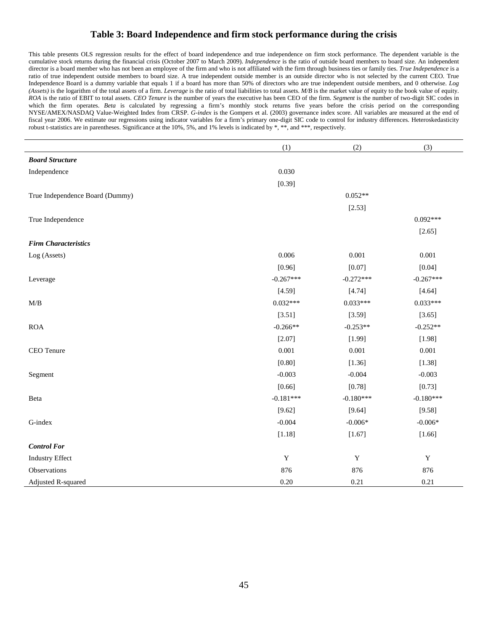# **Table 3: Board Independence and firm stock performance during the crisis**

This table presents OLS regression results for the effect of board independence and true independence on firm stock performance. The dependent variable is the cumulative stock returns during the financial crisis (October 2007 to March 2009). *Independence* is the ratio of outside board members to board size. An independent director is a board member who has not been an employee of the firm and who is not affiliated with the firm through business ties or family ties. *True Independence* is a ratio of true independent outside members to board size. A true independent outside member is an outside director who is not selected by the current CEO. True Independence Board is a dummy variable that equals 1 if a board has more than 50% of directors who are true independent outside members, and 0 otherwise. *Log (Assets)* is the logarithm of the total assets of a firm. *Leverage* is the ratio of total liabilities to total assets. *M/B* is the market value of equity to the book value of equity. *ROA* is the ratio of EBIT to total assets. *CEO Tenure* is the number of years the executive has been CEO of the firm. *Segment* is the number of two-digit SIC codes in which the firm operates. *Beta* is calculated by regressing a firm's monthly stock returns five years before the crisis period on the corresponding NYSE/AMEX/NASDAQ Value-Weighted Index from CRSP. *G-index* is the Gompers et al. (2003) governance index score. All variables are measured at the end of fiscal year 2006. We estimate our regressions using indicator variables for a firm's primary one-digit SIC code to control for industry differences. Heteroskedasticity robust t-statistics are in parentheses. Significance at the 10%, 5%, and 1% levels is indicated by \*, \*\*, and \*\*\*, respectively.

|                                 | (1)         | (2)         | (3)         |
|---------------------------------|-------------|-------------|-------------|
| <b>Board Structure</b>          |             |             |             |
| Independence                    | 0.030       |             |             |
|                                 | [0.39]      |             |             |
| True Independence Board (Dummy) |             | $0.052**$   |             |
|                                 |             | [2.53]      |             |
| True Independence               |             |             | $0.092***$  |
|                                 |             |             | [2.65]      |
| <b>Firm Characteristics</b>     |             |             |             |
| Log (Assets)                    | 0.006       | 0.001       | 0.001       |
|                                 | [0.96]      | [0.07]      | [0.04]      |
| Leverage                        | $-0.267***$ | $-0.272***$ | $-0.267***$ |
|                                 | [4.59]      | [4.74]      | [4.64]      |
| $M\!/\!B$                       | $0.032***$  | $0.033***$  | $0.033***$  |
|                                 | [3.51]      | [3.59]      | [3.65]      |
| <b>ROA</b>                      | $-0.266**$  | $-0.253**$  | $-0.252**$  |
|                                 | [2.07]      | [1.99]      | [1.98]      |
| CEO Tenure                      | 0.001       | 0.001       | 0.001       |
|                                 | [0.80]      | [1.36]      | [1.38]      |
| Segment                         | $-0.003$    | $-0.004$    | $-0.003$    |
|                                 | [0.66]      | [0.78]      | [0.73]      |
| Beta                            | $-0.181***$ | $-0.180***$ | $-0.180***$ |
|                                 | [9.62]      | [9.64]      | [9.58]      |
| G-index                         | $-0.004$    | $-0.006*$   | $-0.006*$   |
|                                 | [1.18]      | [1.67]      | [1.66]      |
| <b>Control For</b>              |             |             |             |
| <b>Industry Effect</b>          | $\mathbf Y$ | $\mathbf Y$ | $\mathbf Y$ |
| Observations                    | 876         | 876         | 876         |
| Adjusted R-squared              | 0.20        | 0.21        | 0.21        |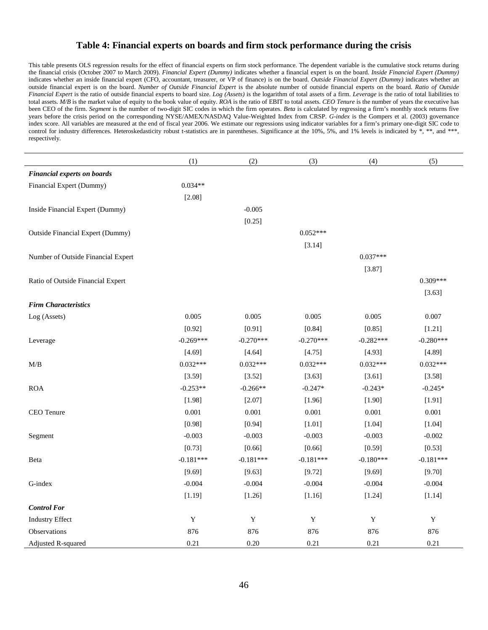#### **Table 4: Financial experts on boards and firm stock performance during the crisis**

This table presents OLS regression results for the effect of financial experts on firm stock performance. The dependent variable is the cumulative stock returns during the financial crisis (October 2007 to March 2009). *Financial Expert (Dummy)* indicates whether a financial expert is on the board. *Inside Financial Expert (Dummy)* indicates whether an inside financial expert (CFO, accountant, treasurer, or VP of finance) is on the board. *Outside Financial Expert (Dummy)* indicates whether an outside financial expert is on the board. *Number of Outside Financial Expert* is the absolute number of outside financial experts on the board. *Ratio of Outside Financial Expert* is the ratio of outside financial experts to board size. *Log (Assets)* is the logarithm of total assets of a firm. *Leverage* is the ratio of total liabilities to total assets. *M/B* is the market value of equity to the book value of equity. *ROA* is the ratio of EBIT to total assets. *CEO Tenure* is the number of years the executive has been CEO of the firm. *Segment* is the number of two-digit SIC codes in which the firm operates. *Beta* is calculated by regressing a firm's monthly stock returns five years before the crisis period on the corresponding NYSE/AMEX/NASDAQ Value-Weighted Index from CRSP. *G-index* is the Gompers et al. (2003) governance index score. All variables are measured at the end of fiscal year 2006. We estimate our regressions using indicator variables for a firm's primary one-digit SIC code to control for industry differences. Heteroskedasticity robust t-statistics are in parentheses. Significance at the 10%, 5%, and 1% levels is indicated by  $*, **$ , and  $***$ , respectively.

|                                         | (1)         | (2)         | (3)         | (4)         | (5)         |
|-----------------------------------------|-------------|-------------|-------------|-------------|-------------|
| <b>Financial experts on boards</b>      |             |             |             |             |             |
| Financial Expert (Dummy)                | $0.034**$   |             |             |             |             |
|                                         | [2.08]      |             |             |             |             |
| Inside Financial Expert (Dummy)         |             | $-0.005$    |             |             |             |
|                                         |             | [0.25]      |             |             |             |
| <b>Outside Financial Expert (Dummy)</b> |             |             | $0.052***$  |             |             |
|                                         |             |             | [3.14]      |             |             |
| Number of Outside Financial Expert      |             |             |             | $0.037***$  |             |
|                                         |             |             |             | [3.87]      |             |
| Ratio of Outside Financial Expert       |             |             |             |             | $0.309***$  |
|                                         |             |             |             |             | [3.63]      |
| <b>Firm Characteristics</b>             |             |             |             |             |             |
| Log (Assets)                            | 0.005       | 0.005       | 0.005       | 0.005       | 0.007       |
|                                         | [0.92]      | [0.91]      | [0.84]      | [0.85]      | [1.21]      |
| Leverage                                | $-0.269***$ | $-0.270***$ | $-0.270***$ | $-0.282***$ | $-0.280***$ |
|                                         | [4.69]      | [4.64]      | [4.75]      | [4.93]      | [4.89]      |
| $\text{M}/\text{B}$                     | $0.032***$  | $0.032***$  | $0.032***$  | $0.032***$  | $0.032***$  |
|                                         | [3.59]      | [3.52]      | [3.63]      | [3.61]      | [3.58]      |
| <b>ROA</b>                              | $-0.253**$  | $-0.266**$  | $-0.247*$   | $-0.243*$   | $-0.245*$   |
|                                         | [1.98]      | [2.07]      | [1.96]      | [1.90]      | [1.91]      |
| CEO Tenure                              | 0.001       | 0.001       | 0.001       | 0.001       | 0.001       |
|                                         | [0.98]      | [0.94]      | $[1.01]$    | [1.04]      | [1.04]      |
| Segment                                 | $-0.003$    | $-0.003$    | $-0.003$    | $-0.003$    | $-0.002$    |
|                                         | [0.73]      | [0.66]      | [0.66]      | [0.59]      | [0.53]      |
| Beta                                    | $-0.181***$ | $-0.181***$ | $-0.181***$ | $-0.180***$ | $-0.181***$ |
|                                         | [9.69]      | [9.63]      | [9.72]      | [9.69]      | [9.70]      |
| G-index                                 | $-0.004$    | $-0.004$    | $-0.004$    | $-0.004$    | $-0.004$    |
|                                         | [1.19]      | [1.26]      | [1.16]      | [1.24]      | [1.14]      |
| <b>Control For</b>                      |             |             |             |             |             |
| <b>Industry Effect</b>                  | $\mathbf Y$ | $\mathbf Y$ | $\mathbf Y$ | $\mathbf Y$ | $\mathbf Y$ |
| Observations                            | 876         | 876         | 876         | 876         | 876         |
| Adjusted R-squared                      | 0.21        | 0.20        | 0.21        | 0.21        | 0.21        |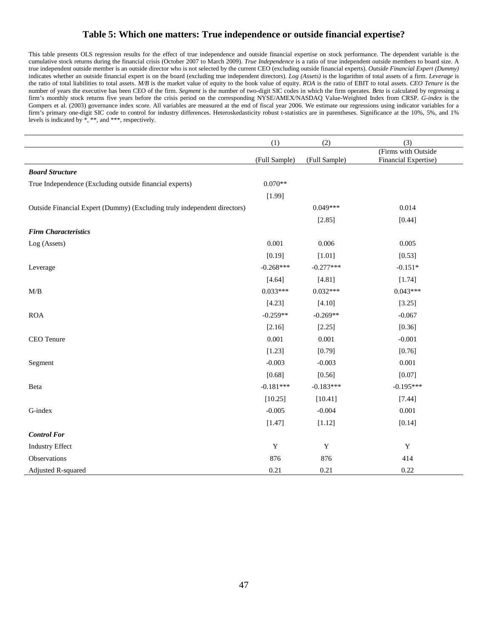# **Table 5: Which one matters: True independence or outside financial expertise?**

This table presents OLS regression results for the effect of true independence and outside financial expertise on stock performance. The dependent variable is the cumulative stock returns during the financial crisis (October 2007 to March 2009). *True Independence* is a ratio of true independent outside members to board size. A true independent outside member is an outside director who is not selected by the current CEO (excluding outside financial experts). *Outside Financial Expert (Dummy)* indicates whether an outside financial expert is on the board (excluding true independent directors). *Log (Assets)* is the logarithm of total assets of a firm. *Leverage* is the ratio of total liabilities to total assets. *M/B* is the market value of equity to the book value of equity. *ROA* is the ratio of EBIT to total assets. *CEO Tenure* is the number of years the executive has been CEO of the firm. *Segment* is the number of two-digit SIC codes in which the firm operates. *Beta* is calculated by regressing a firm's monthly stock returns five years before the crisis period on the corresponding NYSE/AMEX/NASDAQ Value-Weighted Index from CRSP. *G-index* is the Gompers et al. (2003) governance index score. All variables are measured at the end of fiscal year 2006. We estimate our regressions using indicator variables for a firm's primary one-digit SIC code to control for industry differences. Heteroskedasticity robust t-statistics are in parentheses. Significance at the 10%, 5%, and 1% levels is indicated by \*, \*\*, and \*\*\*, respectively.

|                                                                          | (1)           | (2)           | (3)                                         |
|--------------------------------------------------------------------------|---------------|---------------|---------------------------------------------|
|                                                                          | (Full Sample) | (Full Sample) | (Firms with Outside<br>Financial Expertise) |
| <b>Board Structure</b>                                                   |               |               |                                             |
| True Independence (Excluding outside financial experts)                  | $0.070**$     |               |                                             |
|                                                                          | [1.99]        |               |                                             |
| Outside Financial Expert (Dummy) (Excluding truly independent directors) |               | $0.049***$    | 0.014                                       |
|                                                                          |               | [2.85]        | [0.44]                                      |
| <b>Firm Characteristics</b>                                              |               |               |                                             |
| Log (Assets)                                                             | 0.001         | 0.006         | 0.005                                       |
|                                                                          | [0.19]        | [1.01]        | [0.53]                                      |
| Leverage                                                                 | $-0.268***$   | $-0.277***$   | $-0.151*$                                   |
|                                                                          | [4.64]        | [4.81]        | [1.74]                                      |
| M/B                                                                      | $0.033***$    | $0.032***$    | $0.043***$                                  |
|                                                                          | [4.23]        | [4.10]        | [3.25]                                      |
| <b>ROA</b>                                                               | $-0.259**$    | $-0.269**$    | $-0.067$                                    |
|                                                                          | [2.16]        | [2.25]        | [0.36]                                      |
| CEO Tenure                                                               | 0.001         | 0.001         | $-0.001$                                    |
|                                                                          | [1.23]        | [0.79]        | [0.76]                                      |
| Segment                                                                  | $-0.003$      | $-0.003$      | 0.001                                       |
|                                                                          | [0.68]        | [0.56]        | [0.07]                                      |
| Beta                                                                     | $-0.181***$   | $-0.183***$   | $-0.195***$                                 |
|                                                                          | [10.25]       | [10.41]       | [7.44]                                      |
| G-index                                                                  | $-0.005$      | $-0.004$      | 0.001                                       |
|                                                                          | [1.47]        | [1.12]        | [0.14]                                      |
| <b>Control For</b>                                                       |               |               |                                             |
| <b>Industry Effect</b>                                                   | $\mathbf Y$   | $\mathbf Y$   | $\mathbf Y$                                 |
| Observations                                                             | 876           | 876           | 414                                         |
| Adjusted R-squared                                                       | 0.21          | 0.21          | 0.22                                        |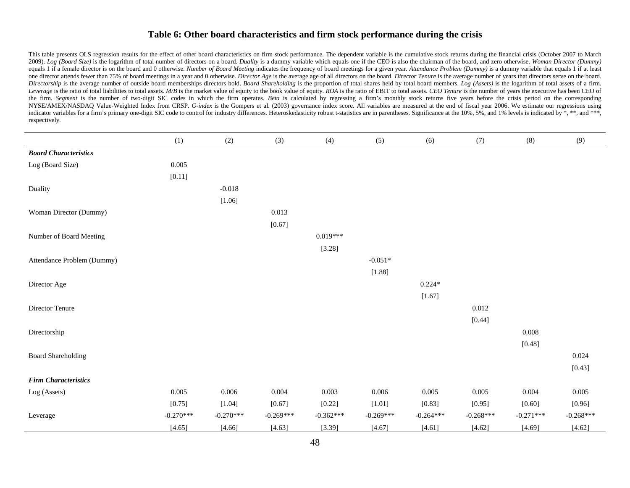#### **Table 6: Other board characteristics and firm stock performance during the crisis**

This table presents OLS regression results for the effect of other board characteristics on firm stock performance. The dependent variable is the cumulative stock returns during the financial crisis (October 2007 to March 2009). Log (Board Size) is the logarithm of total number of directors on a board. Duality is a dummy variable which equals one if the CEO is also the chairman of the board, and zero otherwise. Woman Director (Dummy) equals 1 if a female director is on the board and 0 otherwise. Number of Board Meeting indicates the frequency of board meetings for a given year. Attendance Problem (Dummy) is a dummy variable that equals 1 if at least one director attends fewer than 75% of board meetings in a year and 0 otherwise. Director Age is the average age of all directors on the board. Director Tenure is the average number of years that directors serve on the boa Directorship is the average number of outside board memberships directors hold. Board Shareholding is the proportion of total shares held by total board members. Log (Assets) is the logarithm of total assets of a firm. Leverage is the ratio of total liabilities to total assets. M/B is the market value of equity to the book value of equity. ROA is the ratio of EBIT to total assets. CEO Tenure is the number of years the executive has been the firm. *Segment* is the number of two-digit SIC codes in which the firm operates. Beta is calculated by regressing a firm's monthly stock returns five years before the crisis period on the corresponding NYSE/AMEX/NASDAQ Value-Weighted Index from CRSP. *G-index* is the Gompers et al. (2003) governance index score. All variables are measured at the end of fiscal year 2006. We estimate our regressions using indicator variables for a firm's primary one-digit SIC code to control for industry differences. Heteroskedasticity robust t-statistics are in parentheses. Significance at the 10%, 5%, and 1% levels is indicated by \*, \*\*, respectively.

|                              | (1)         | (2)         | (3)         | (4)         | (5)         | (6)         | (7)         | (8)         | (9)         |
|------------------------------|-------------|-------------|-------------|-------------|-------------|-------------|-------------|-------------|-------------|
| <b>Board Characteristics</b> |             |             |             |             |             |             |             |             |             |
| Log (Board Size)             | 0.005       |             |             |             |             |             |             |             |             |
|                              | [0.11]      |             |             |             |             |             |             |             |             |
| Duality                      |             | $-0.018$    |             |             |             |             |             |             |             |
|                              |             | [1.06]      |             |             |             |             |             |             |             |
| Woman Director (Dummy)       |             |             | 0.013       |             |             |             |             |             |             |
|                              |             |             | [0.67]      |             |             |             |             |             |             |
| Number of Board Meeting      |             |             |             | $0.019***$  |             |             |             |             |             |
|                              |             |             |             | [3.28]      |             |             |             |             |             |
| Attendance Problem (Dummy)   |             |             |             |             | $-0.051*$   |             |             |             |             |
|                              |             |             |             |             | [1.88]      |             |             |             |             |
| Director Age                 |             |             |             |             |             | $0.224*$    |             |             |             |
|                              |             |             |             |             |             | [1.67]      |             |             |             |
| Director Tenure              |             |             |             |             |             |             | 0.012       |             |             |
|                              |             |             |             |             |             |             | [0.44]      |             |             |
| Directorship                 |             |             |             |             |             |             |             | 0.008       |             |
|                              |             |             |             |             |             |             |             | [0.48]      |             |
| <b>Board Shareholding</b>    |             |             |             |             |             |             |             |             | 0.024       |
|                              |             |             |             |             |             |             |             |             | [0.43]      |
| <b>Firm Characteristics</b>  |             |             |             |             |             |             |             |             |             |
| Log (Assets)                 | 0.005       | 0.006       | 0.004       | 0.003       | 0.006       | 0.005       | 0.005       | 0.004       | 0.005       |
|                              | [0.75]      | [1.04]      | [0.67]      | [0.22]      | [1.01]      | [0.83]      | [0.95]      | [0.60]      | [0.96]      |
| Leverage                     | $-0.270***$ | $-0.270***$ | $-0.269***$ | $-0.362***$ | $-0.269***$ | $-0.264***$ | $-0.268***$ | $-0.271***$ | $-0.268***$ |
|                              | [4.65]      | [4.66]      | [4.63]      | [3.39]      | [4.67]      | [4.61]      | [4.62]      | [4.69]      | [4.62]      |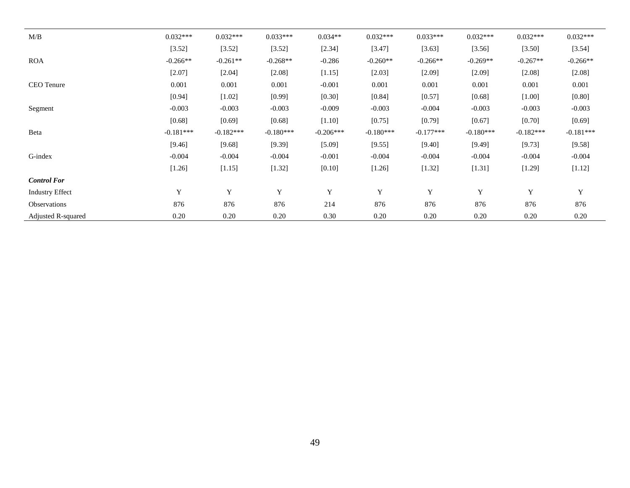| M/B                    | $0.032***$  | $0.032***$  | $0.033***$  | $0.034**$   | $0.032***$  | $0.033***$  | $0.032***$  | $0.032***$  | $0.032***$  |
|------------------------|-------------|-------------|-------------|-------------|-------------|-------------|-------------|-------------|-------------|
|                        | [3.52]      | [3.52]      | [3.52]      | [2.34]      | [3.47]      | [3.63]      | [3.56]      | [3.50]      | [3.54]      |
| <b>ROA</b>             | $-0.266**$  | $-0.261**$  | $-0.268**$  | $-0.286$    | $-0.260**$  | $-0.266**$  | $-0.269**$  | $-0.267**$  | $-0.266**$  |
|                        | [2.07]      | [2.04]      | [2.08]      | [1.15]      | [2.03]      | [2.09]      | [2.09]      | [2.08]      | [2.08]      |
| <b>CEO</b> Tenure      | 0.001       | 0.001       | 0.001       | $-0.001$    | 0.001       | 0.001       | 0.001       | 0.001       | 0.001       |
|                        | [0.94]      | $[1.02]$    | [0.99]      | [0.30]      | [0.84]      | [0.57]      | [0.68]      | $[1.00]$    | [0.80]      |
| Segment                | $-0.003$    | $-0.003$    | $-0.003$    | $-0.009$    | $-0.003$    | $-0.004$    | $-0.003$    | $-0.003$    | $-0.003$    |
|                        | [0.68]      | [0.69]      | [0.68]      | [1.10]      | [0.75]      | [0.79]      | [0.67]      | [0.70]      | [0.69]      |
| Beta                   | $-0.181***$ | $-0.182***$ | $-0.180***$ | $-0.206***$ | $-0.180***$ | $-0.177***$ | $-0.180***$ | $-0.182***$ | $-0.181***$ |
|                        | [9.46]      | [9.68]      | [9.39]      | [5.09]      | [9.55]      | [9.40]      | [9.49]      | [9.73]      | [9.58]      |
| G-index                | $-0.004$    | $-0.004$    | $-0.004$    | $-0.001$    | $-0.004$    | $-0.004$    | $-0.004$    | $-0.004$    | $-0.004$    |
|                        | $[1.26]$    | [1.15]      | [1.32]      | [0.10]      | $[1.26]$    | [1.32]      | $[1.31]$    | [1.29]      | [1.12]      |
| <b>Control For</b>     |             |             |             |             |             |             |             |             |             |
| <b>Industry Effect</b> | Y           | Y           | Y           | Y           | Y           | Y           | Y           | Y           | Y           |
| Observations           | 876         | 876         | 876         | 214         | 876         | 876         | 876         | 876         | 876         |
| Adjusted R-squared     | 0.20        | 0.20        | 0.20        | 0.30        | 0.20        | 0.20        | 0.20        | 0.20        | 0.20        |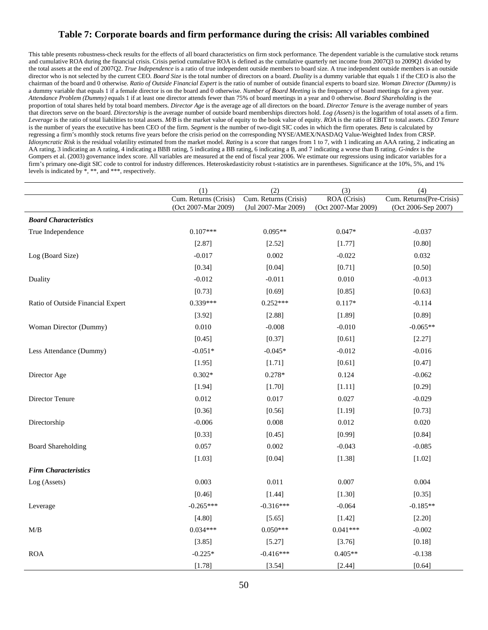# **Table 7: Corporate boards and firm performance during the crisis: All variables combined**

This table presents robustness-check results for the effects of all board characteristics on firm stock performance. The dependent variable is the cumulative stock returns and cumulative ROA during the financial crisis. Crisis period cumulative ROA is defined as the cumulative quarterly net income from 2007Q3 to 2009Q1 divided by the total assets at the end of 2007Q2. *True Independence* is a ratio of true independent outside members to board size. A true independent outside members is an outside director who is not selected by the current CEO. *Board Size* is the total number of directors on a board. *Duality* is a dummy variable that equals 1 if the CEO is also the chairman of the board and 0 otherwise. *Ratio of Outside Financial Expert* is the ratio of number of outside financial experts to board size. *Woman Director (Dummy)* is a dummy variable that equals 1 if a female director is on the board and 0 otherwise. *Number of Board Meeting* is the frequency of board meetings for a given year. *Attendance Problem (Dummy)* equals 1 if at least one director attends fewer than 75% of board meetings in a year and 0 otherwise. *Board Shareholding* is the proportion of total shares held by total board members. *Director Age* is the average age of all directors on the board. *Director Tenure* is the average number of years that directors serve on the board. *Directorship* is the average number of outside board memberships directors hold. *Log (Assets)* is the logarithm of total assets of a firm. *Leverage* is the ratio of total liabilities to total assets. *M/B* is the market value of equity to the book value of equity. *ROA* is the ratio of EBIT to total assets. *CEO Tenure* is the number of years the executive has been CEO of the firm. *Segment* is the number of two-digit SIC codes in which the firm operates. *Beta* is calculated by regressing a firm's monthly stock returns five years before the crisis period on the corresponding NYSE/AMEX/NASDAQ Value-Weighted Index from CRSP. *Idiosyncratic Risk* is the residual volatility estimated from the market model. *Rating* is a score that ranges from 1 to 7, with 1 indicating an AAA rating, 2 indicating an AA rating, 3 indicating an A rating, 4 indicating a BBB rating, 5 indicating a BB rating, 6 indicating a B, and 7 indicating a worse than B rating. *G-index* is the Gompers et al. (2003) governance index score. All variables are measured at the end of fiscal year 2006. We estimate our regressions using indicator variables for a firm's primary one-digit SIC code to control for industry differences. Heteroskedasticity robust t-statistics are in parentheses. Significance at the 10%, 5%, and 1% levels is indicated by \*, \*\*, and \*\*\*, respectively.

|                                   | (1)                                          | (2)                                          | (3)                                 | (4)                                             |
|-----------------------------------|----------------------------------------------|----------------------------------------------|-------------------------------------|-------------------------------------------------|
|                                   | Cum. Returns (Crisis)<br>(Oct 2007-Mar 2009) | Cum. Returns (Crisis)<br>(Jul 2007-Mar 2009) | ROA (Crisis)<br>(Oct 2007-Mar 2009) | Cum. Returns(Pre-Crisis)<br>(Oct 2006-Sep 2007) |
| <b>Board Characteristics</b>      |                                              |                                              |                                     |                                                 |
| True Independence                 | $0.107***$                                   | $0.095**$                                    | $0.047*$                            | $-0.037$                                        |
|                                   | [2.87]                                       | [2.52]                                       | [1.77]                              | [0.80]                                          |
| Log (Board Size)                  | $-0.017$                                     | 0.002                                        | $-0.022$                            | 0.032                                           |
|                                   | [0.34]                                       | [0.04]                                       | [0.71]                              | [0.50]                                          |
| Duality                           | $-0.012$                                     | $-0.011$                                     | 0.010                               | $-0.013$                                        |
|                                   | [0.73]                                       | [0.69]                                       | [0.85]                              | [0.63]                                          |
| Ratio of Outside Financial Expert | $0.339***$                                   | $0.252***$                                   | $0.117*$                            | $-0.114$                                        |
|                                   | [3.92]                                       | [2.88]                                       | [1.89]                              | [0.89]                                          |
| Woman Director (Dummy)            | 0.010                                        | $-0.008$                                     | $-0.010$                            | $-0.065**$                                      |
|                                   | [0.45]                                       | [0.37]                                       | [0.61]                              | [2.27]                                          |
| Less Attendance (Dummy)           | $-0.051*$                                    | $-0.045*$                                    | $-0.012$                            | $-0.016$                                        |
|                                   | [1.95]                                       | [1.71]                                       | [0.61]                              | [0.47]                                          |
| Director Age                      | $0.302*$                                     | $0.278*$                                     | 0.124                               | $-0.062$                                        |
|                                   | [1.94]                                       | [1.70]                                       | [1.11]                              | [0.29]                                          |
| Director Tenure                   | 0.012                                        | 0.017                                        | 0.027                               | $-0.029$                                        |
|                                   | [0.36]                                       | [0.56]                                       | [1.19]                              | [0.73]                                          |
| Directorship                      | $-0.006$                                     | 0.008                                        | 0.012                               | 0.020                                           |
|                                   | [0.33]                                       | [0.45]                                       | [0.99]                              | [0.84]                                          |
| <b>Board Shareholding</b>         | 0.057                                        | 0.002                                        | $-0.043$                            | $-0.085$                                        |
|                                   | [1.03]                                       | [0.04]                                       | [1.38]                              | [1.02]                                          |
| <b>Firm Characteristics</b>       |                                              |                                              |                                     |                                                 |
| Log (Assets)                      | 0.003                                        | 0.011                                        | 0.007                               | 0.004                                           |
|                                   | [0.46]                                       | [1.44]                                       | [1.30]                              | [0.35]                                          |
| Leverage                          | $-0.265***$                                  | $-0.316***$                                  | $-0.064$                            | $-0.185**$                                      |
|                                   | [4.80]                                       | [5.65]                                       | [1.42]                              | [2.20]                                          |
| M/B                               | $0.034***$                                   | $0.050***$                                   | $0.041***$                          | $-0.002$                                        |
|                                   | [3.85]                                       | [5.27]                                       | [3.76]                              | [0.18]                                          |
| <b>ROA</b>                        | $-0.225*$                                    | $-0.416***$                                  | $0.405**$                           | $-0.138$                                        |
|                                   | [1.78]                                       | [3.54]                                       | [2.44]                              | [0.64]                                          |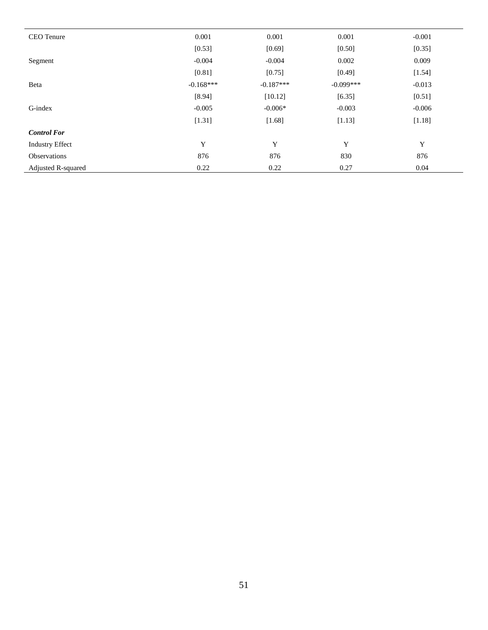| CEO Tenure             | 0.001       | 0.001       | 0.001       | $-0.001$ |
|------------------------|-------------|-------------|-------------|----------|
|                        | [0.53]      | [0.69]      | [0.50]      | [0.35]   |
| Segment                | $-0.004$    | $-0.004$    | 0.002       | 0.009    |
|                        | [0.81]      | [0.75]      | [0.49]      | [1.54]   |
| Beta                   | $-0.168***$ | $-0.187***$ | $-0.099***$ | $-0.013$ |
|                        | [8.94]      | [10.12]     | [6.35]      | [0.51]   |
| G-index                | $-0.005$    | $-0.006*$   | $-0.003$    | $-0.006$ |
|                        | [1.31]      | [1.68]      | [1.13]      | [1.18]   |
| <b>Control For</b>     |             |             |             |          |
| <b>Industry Effect</b> | Y           | Y           | Y           | Y        |
| Observations           | 876         | 876         | 830         | 876      |
| Adjusted R-squared     | 0.22        | 0.22        | 0.27        | 0.04     |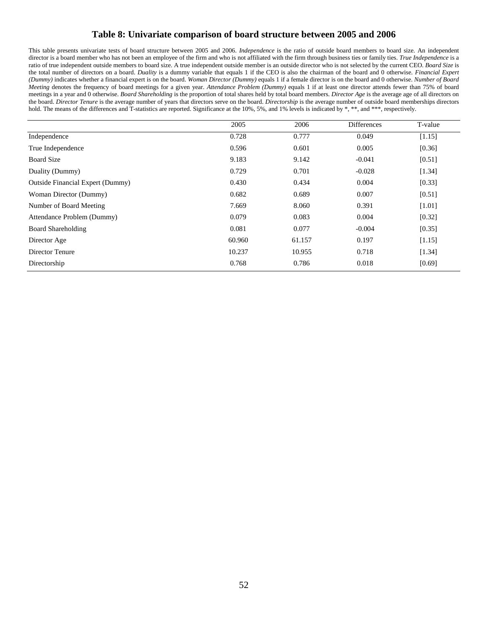# **Table 8: Univariate comparison of board structure between 2005 and 2006**

This table presents univariate tests of board structure between 2005 and 2006. *Independence* is the ratio of outside board members to board size. An independent director is a board member who has not been an employee of the firm and who is not affiliated with the firm through business ties or family ties. *True Independence* is a ratio of true independent outside members to board size. A true independent outside member is an outside director who is not selected by the current CEO. *Board Size* is the total number of directors on a board. *Duality* is a dummy variable that equals 1 if the CEO is also the chairman of the board and 0 otherwise. *Financial Expert (Dummy)* indicates whether a financial expert is on the board. *Woman Director (Dummy)* equals 1 if a female director is on the board and 0 otherwise. *Number of Board Meeting* denotes the frequency of board meetings for a given year. *Attendance Problem (Dummy)* equals 1 if at least one director attends fewer than 75% of board meetings in a year and 0 otherwise. *Board Shareholding* is the proportion of total shares held by total board members. *Director Age* is the average age of all directors on the board. *Director Tenure* is the average number of years that directors serve on the board. *Directorship* is the average number of outside board memberships directors hold. The means of the differences and T-statistics are reported. Significance at the 10%, 5%, and 1% levels is indicated by \*, \*\*, and \*\*\*, respectively.

|                                         | 2005   | 2006   | Differences | T-value |
|-----------------------------------------|--------|--------|-------------|---------|
| Independence                            | 0.728  | 0.777  | 0.049       | [1.15]  |
| True Independence                       | 0.596  | 0.601  | 0.005       | [0.36]  |
| <b>Board Size</b>                       | 9.183  | 9.142  | $-0.041$    | [0.51]  |
| Duality (Dummy)                         | 0.729  | 0.701  | $-0.028$    | [1.34]  |
| <b>Outside Financial Expert (Dummy)</b> | 0.430  | 0.434  | 0.004       | [0.33]  |
| Woman Director (Dummy)                  | 0.682  | 0.689  | 0.007       | [0.51]  |
| Number of Board Meeting                 | 7.669  | 8.060  | 0.391       | [1.01]  |
| Attendance Problem (Dummy)              | 0.079  | 0.083  | 0.004       | [0.32]  |
| <b>Board Shareholding</b>               | 0.081  | 0.077  | $-0.004$    | [0.35]  |
| Director Age                            | 60.960 | 61.157 | 0.197       | [1.15]  |
| Director Tenure                         | 10.237 | 10.955 | 0.718       | [1.34]  |
| Directorship                            | 0.768  | 0.786  | 0.018       | [0.69]  |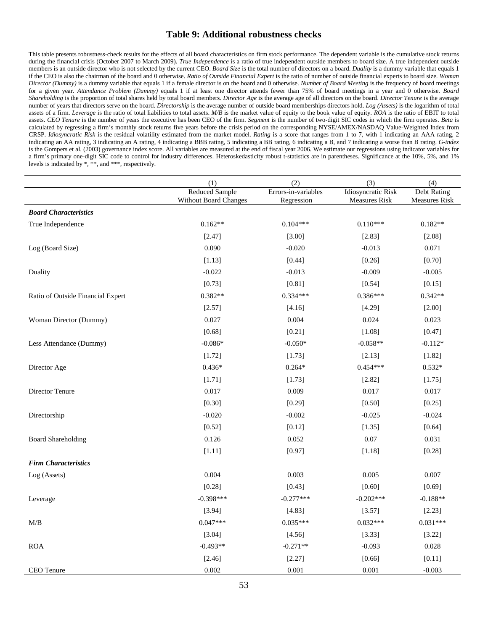# **Table 9: Additional robustness checks**

This table presents robustness-check results for the effects of all board characteristics on firm stock performance. The dependent variable is the cumulative stock returns during the financial crisis (October 2007 to March 2009). *True Independence* is a ratio of true independent outside members to board size. A true independent outside members is an outside director who is not selected by the current CEO. *Board Size* is the total number of directors on a board. *Duality* is a dummy variable that equals 1 if the CEO is also the chairman of the board and 0 otherwise. *Ratio of Outside Financial Expert* is the ratio of number of outside financial experts to board size. *Woman Director (Dummy)* is a dummy variable that equals 1 if a female director is on the board and 0 otherwise. *Number of Board Meeting* is the frequency of board meetings for a given year. *Attendance Problem (Dummy)* equals 1 if at least one director attends fewer than 75% of board meetings in a year and 0 otherwise. *Board Shareholding* is the proportion of total shares held by total board members. *Director Age* is the average age of all directors on the board. *Director Tenure* is the average number of years that directors serve on the board. *Directorship* is the average number of outside board memberships directors hold. *Log (Assets)* is the logarithm of total assets of a firm. *Leverage* is the ratio of total liabilities to total assets. M/B is the market value of equity to the book value of equity. *ROA* is the ratio of EBIT to total assets. *CEO Tenure* is the number of years the executive has been CEO of the firm. *Segment* is the number of two-digit SIC codes in which the firm operates. *Beta* is calculated by regressing a firm's monthly stock returns five years before the crisis period on the corresponding NYSE/AMEX/NASDAQ Value-Weighted Index from CRSP. *Idiosyncratic Risk* is the residual volatility estimated from the market model. *Rating* is a score that ranges from 1 to 7, with 1 indicating an AAA rating, 2 indicating an AA rating, 3 indicating an A rating, 4 indicating a BBB rating, 5 indicating a BB rating, 6 indicating a B, and 7 indicating a worse than B rating. *G-index* is the Gompers et al. (2003) governance index score. All variables are measured at the end of fiscal year 2006. We estimate our regressions using indicator variables for a firm's primary one-digit SIC code to control for industry differences. Heteroskedasticity robust t-statistics are in parentheses. Significance at the 10%, 5%, and 1% levels is indicated by \*, \*\*, and \*\*\*, respectively.

| <b>Reduced Sample</b><br>Errors-in-variables<br>Idiosyncratic Risk<br>Debt Rating<br><b>Without Board Changes</b><br>Regression<br><b>Measures Risk</b><br><b>Measures Risk</b><br><b>Board Characteristics</b> |  |
|-----------------------------------------------------------------------------------------------------------------------------------------------------------------------------------------------------------------|--|
|                                                                                                                                                                                                                 |  |
|                                                                                                                                                                                                                 |  |
| $0.110***$<br>True Independence<br>$0.162**$<br>$0.104***$<br>$0.182**$                                                                                                                                         |  |
| [2.47]<br>[3.00]<br>[2.83]<br>[2.08]                                                                                                                                                                            |  |
| 0.090<br>$-0.020$<br>$-0.013$<br>0.071                                                                                                                                                                          |  |
| Log (Board Size)                                                                                                                                                                                                |  |
| [0.70]<br>[1.13]<br>[0.44]<br>[0.26]                                                                                                                                                                            |  |
| $-0.022$<br>$-0.013$<br>$-0.009$<br>$-0.005$<br>Duality                                                                                                                                                         |  |
| [0.73]<br>[0.81]<br>[0.54]<br>[0.15]                                                                                                                                                                            |  |
| $0.382**$<br>0.334***<br>$0.386***$<br>$0.342**$<br>Ratio of Outside Financial Expert                                                                                                                           |  |
| [2.57]<br>[4.16]<br>[4.29]<br>[2.00]                                                                                                                                                                            |  |
| 0.027<br>0.004<br>0.023<br>Woman Director (Dummy)<br>0.024                                                                                                                                                      |  |
| [0.68]<br>[0.21]<br>[1.08]<br>[0.47]                                                                                                                                                                            |  |
| $-0.086*$<br>$-0.050*$<br>$-0.058**$<br>$-0.112*$<br>Less Attendance (Dummy)                                                                                                                                    |  |
| [1.72]<br>[1.73]<br>[1.82]<br>[2.13]                                                                                                                                                                            |  |
| $0.436*$<br>$0.264*$<br>$0.454***$<br>$0.532*$<br>Director Age                                                                                                                                                  |  |
| [1.71]<br>[1.73]<br>[2.82]<br>[1.75]                                                                                                                                                                            |  |
| 0.017<br>Director Tenure<br>0.017<br>0.009<br>0.017                                                                                                                                                             |  |
| [0.30]<br>[0.29]<br>[0.50]<br>[0.25]                                                                                                                                                                            |  |
| $-0.020$<br>$-0.002$<br>Directorship<br>$-0.025$<br>$-0.024$                                                                                                                                                    |  |
| [0.52]<br>[0.12]<br>[0.64]<br>[1.35]                                                                                                                                                                            |  |
| 0.126<br>0.052<br>0.07<br>0.031<br><b>Board Shareholding</b>                                                                                                                                                    |  |
| [1.11]<br>[0.97]<br>[1.18]<br>[0.28]                                                                                                                                                                            |  |
| <b>Firm Characteristics</b>                                                                                                                                                                                     |  |
| 0.004<br>0.003<br>0.005<br>0.007<br>Log (Assets)                                                                                                                                                                |  |
| [0.28]<br>[0.43]<br>[0.60]<br>[0.69]                                                                                                                                                                            |  |
| $-0.398***$<br>$-0.277***$<br>$-0.202***$<br>$-0.188**$<br>Leverage                                                                                                                                             |  |
| [3.94]<br>[4.83]<br>[2.23]<br>[3.57]                                                                                                                                                                            |  |
| $0.047***$<br>$0.031***$<br>$0.035***$<br>$0.032***$<br>M/B                                                                                                                                                     |  |
| [3.04]<br>[4.56]<br>[3.33]<br>[3.22]                                                                                                                                                                            |  |
| $-0.493**$<br>$-0.271**$<br><b>ROA</b><br>$-0.093$<br>0.028                                                                                                                                                     |  |
| [0.11]<br>[2.46]<br>[2.27]<br>[0.66]                                                                                                                                                                            |  |
| 0.002<br>0.001<br>0.001<br>$-0.003$<br>CEO Tenure                                                                                                                                                               |  |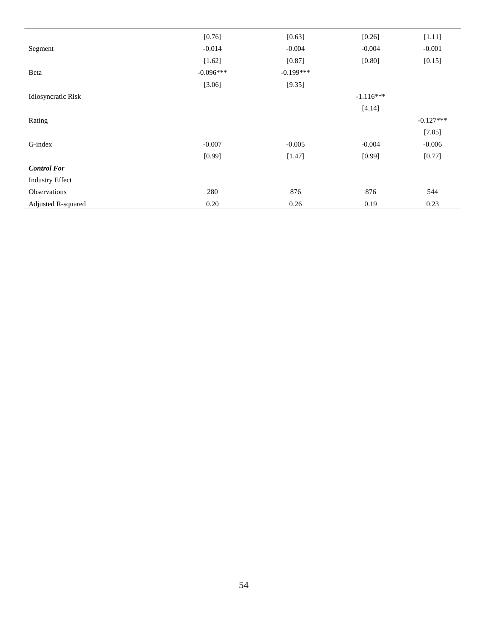|                        | [0.76]      | [0.63]      | [0.26]      | [1.11]      |
|------------------------|-------------|-------------|-------------|-------------|
| Segment                | $-0.014$    | $-0.004$    | $-0.004$    | $-0.001$    |
|                        | [1.62]      | [0.87]      | [0.80]      | [0.15]      |
| Beta                   | $-0.096***$ | $-0.199***$ |             |             |
|                        | [3.06]      | [9.35]      |             |             |
| Idiosyncratic Risk     |             |             | $-1.116***$ |             |
|                        |             |             | [4.14]      |             |
| Rating                 |             |             |             | $-0.127***$ |
|                        |             |             |             | [7.05]      |
| G-index                | $-0.007$    | $-0.005$    | $-0.004$    | $-0.006$    |
|                        | [0.99]      | [1.47]      | [0.99]      | [0.77]      |
| <b>Control For</b>     |             |             |             |             |
| <b>Industry Effect</b> |             |             |             |             |
| Observations           | 280         | 876         | 876         | 544         |
| Adjusted R-squared     | 0.20        | 0.26        | 0.19        | 0.23        |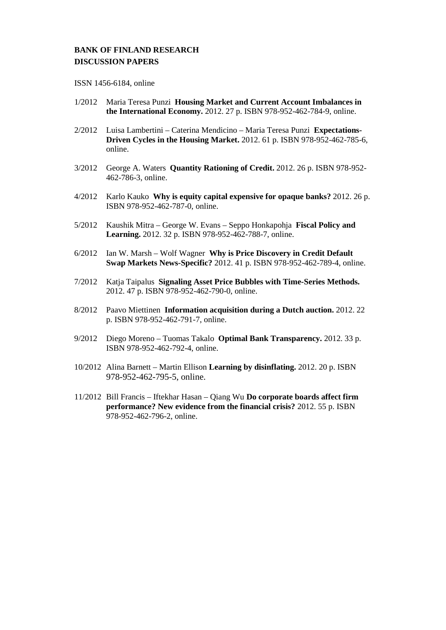# **BANK OF FINLAND RESEARCH DISCUSSION PAPERS**

ISSN 1456-6184, online

- 1/2012 Maria Teresa Punzi **Housing Market and Current Account Imbalances in the International Economy.** 2012. 27 p. ISBN 978-952-462-784-9, online.
- 2/2012 Luisa Lambertini Caterina Mendicino Maria Teresa Punzi **Expectations-Driven Cycles in the Housing Market.** 2012. 61 p. ISBN 978-952-462-785-6, online.
- 3/2012 George A. Waters **Quantity Rationing of Credit.** 2012. 26 p. ISBN 978-952- 462-786-3, online.
- 4/2012 Karlo Kauko **Why is equity capital expensive for opaque banks?** 2012. 26 p. ISBN 978-952-462-787-0, online.
- 5/2012 Kaushik Mitra George W. Evans Seppo Honkapohja **Fiscal Policy and Learning.** 2012. 32 p. ISBN 978-952-462-788-7, online.
- 6/2012 Ian W. Marsh Wolf Wagner **Why is Price Discovery in Credit Default Swap Markets News-Specific?** 2012. 41 p. ISBN 978-952-462-789-4, online.
- 7/2012 Katja Taipalus **Signaling Asset Price Bubbles with Time-Series Methods.** 2012. 47 p. ISBN 978-952-462-790-0, online.
- 8/2012 Paavo Miettinen **Information acquisition during a Dutch auction.** 2012. 22 p. ISBN 978-952-462-791-7, online.
- 9/2012 Diego Moreno Tuomas Takalo **Optimal Bank Transparency.** 2012. 33 p. ISBN 978-952-462-792-4, online.
- 10/2012 Alina Barnett Martin Ellison **Learning by disinflating.** 2012. 20 p. ISBN 978-952-462-795-5, online.
- 11/2012 Bill Francis Iftekhar Hasan Qiang Wu **Do corporate boards affect firm performance? New evidence from the financial crisis?** 2012. 55 p. ISBN 978-952-462-796-2, online.